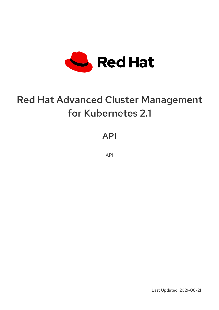

# Red Hat Advanced Cluster Management for Kubernetes 2.1

API

API

Last Updated: 2021-08-21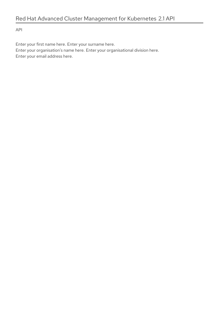API

Enter your first name here. Enter your surname here. Enter your organisation's name here. Enter your organisational division here. Enter your email address here.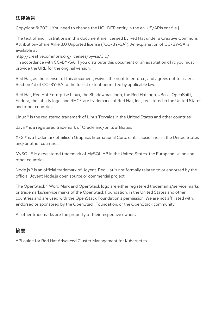# 法律通告

Copyright © 2021 | You need to change the HOLDER entity in the en-US/APIs.ent file |.

The text of and illustrations in this document are licensed by Red Hat under a Creative Commons Attribution–Share Alike 3.0 Unported license ("CC-BY-SA"). An explanation of CC-BY-SA is available at

http://creativecommons.org/licenses/by-sa/3.0/

. In accordance with CC-BY-SA, if you distribute this document or an adaptation of it, you must provide the URL for the original version.

Red Hat, as the licensor of this document, waives the right to enforce, and agrees not to assert, Section 4d of CC-BY-SA to the fullest extent permitted by applicable law.

Red Hat, Red Hat Enterprise Linux, the Shadowman logo, the Red Hat logo, JBoss, OpenShift, Fedora, the Infinity logo, and RHCE are trademarks of Red Hat, Inc., registered in the United States and other countries.

Linux ® is the registered trademark of Linus Torvalds in the United States and other countries.

Java ® is a registered trademark of Oracle and/or its affiliates.

XFS ® is a trademark of Silicon Graphics International Corp. or its subsidiaries in the United States and/or other countries.

MySQL<sup>®</sup> is a registered trademark of MySQL AB in the United States, the European Union and other countries.

Node.js ® is an official trademark of Joyent. Red Hat is not formally related to or endorsed by the official Joyent Node.js open source or commercial project.

The OpenStack ® Word Mark and OpenStack logo are either registered trademarks/service marks or trademarks/service marks of the OpenStack Foundation, in the United States and other countries and are used with the OpenStack Foundation's permission. We are not affiliated with, endorsed or sponsored by the OpenStack Foundation, or the OpenStack community.

All other trademarks are the property of their respective owners.

## 摘要

API guide for Red Hat Advanced Cluster Management for Kubernetes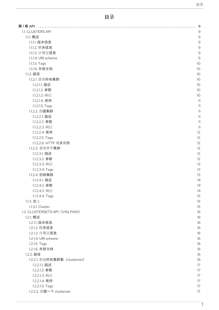# 目录

| 1.1. CLUSTERS API               | 9               |
|---------------------------------|-----------------|
| 1.1.1. 概述                       | $\circ$         |
| 1.1.1.1. 版本信息                   |                 |
| 1.1.1.2. 联系信息                   |                 |
| 1.1.1.3. 许可证信息                  |                 |
| 1.1.1.4. URI scheme             |                 |
| 1.1.1.5. Tags                   | 1 <sup>C</sup>  |
|                                 | 1O              |
| 1.1.1.6. 外部文档                   |                 |
| 1.1.2. 路径                       | 10              |
| 1.1.2.1. 查询所有集群                 | 10 <sup>°</sup> |
| 1.1.2.1.1. 描述                   | 10              |
| 1.1.2.1.2. 参数                   | 10 <sup>°</sup> |
| 1.1.2.1.3. 响应                   | 10 <sup>°</sup> |
| 1.1.2.1.4. 使用                   |                 |
| 1.1.2.1.5. Tags                 |                 |
| 1.1.2.2. 创建集群                   |                 |
| 1.1.2.2.1. 描述                   |                 |
| 1.1.2.2.2. 参数                   |                 |
| 1.1.2.2.3. 响应                   |                 |
| 1.1.2.2.4. 使用                   |                 |
| 1.1.2.2.5. Tags                 | 12              |
| 1.1.2.2.6. HTTP 请求示例            | 12              |
| 1.1.2.3. 查询单个集群                 |                 |
|                                 |                 |
| 1.1.2.3.1. 描述                   |                 |
| 1.1.2.3.2. 参数                   | 12              |
| 1.1.2.3.3. 响应                   | 13              |
| 1.1.2.3.4. Tags                 | 13              |
| 1.1.2.4. 删除集群                   | 13              |
| 1.1.2.4.1. 描述                   | 14              |
| 1.1.2.4.2. 参数                   | 14              |
| 1.1.2.4.3. 响应                   | 14              |
| 1.1.2.4.4. Tags                 | 15              |
| 1.1.3. 定义                       | 15              |
| 1.1.3.1. Cluster                | 15              |
| 1.2. CLUSTERSETS API (VIALPHA1) | 16              |
| 1.2.1. 概述                       | 16              |
| 1.2.1.1. 版本信息                   | 16              |
|                                 | 16              |
| 1.2.1.2. 联系信息                   |                 |
| 1.2.1.3. 许可证信息                  | 16              |
| 1.2.1.4. URI scheme             | 16              |
| 1.2.1.5. Tags                   | 16              |
| 1.2.1.6. 外部文档                   | 16              |
| 1.2.2. 路径                       | 16              |
| 1.2.2.1. 查询所有集群集 (clusterset)   | 16              |
| 1.2.2.1.1. 描述                   | 17              |
| 1.2.2.1.2. 参数                   | 17              |
| 1.2.2.1.3. 响应                   | 17              |
| 1.2.2.1.4. 使用                   | 17              |
|                                 |                 |
| 1.2.2.1.5. Tags                 | 17              |
| 1.2.2.2. 创建一个 clusterset        | 17              |

1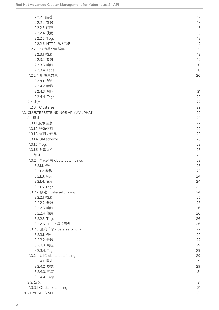| 1.2.2.2.1. 描述                          | 17 |
|----------------------------------------|----|
| 1.2.2.2.2. 参数                          | 18 |
| 1.2.2.2.3. 响应                          | 18 |
| 1.2.2.2.4. 使用                          | 18 |
| 1.2.2.2.5. Tags                        | 18 |
| 1.2.2.2.6. HTTP 请求示例                   | 19 |
| 1.2.2.3. 查询单个集群集                       | 19 |
| 1.2.2.3.1. 描述                          | 19 |
| 1.2.2.3.2. 参数                          | 19 |
| 1.2.2.3.3. 响应                          | 20 |
| 1.2.2.3.4. Tags                        | 20 |
| 1.2.2.4. 删除集群集                         | 20 |
| 1.2.2.4.1. 描述                          | 21 |
| 1.2.2.4.2. 参数                          | 21 |
| 1.2.2.4.3. 响应                          | 21 |
| 1.2.2.4.4. Tags                        | 22 |
| 1.2.3. 定义                              | 22 |
| 1.2.3.1. Clusterset                    | 22 |
| 1.3. CLUSTERSETBINDINGS API (V1ALPHA1) | 22 |
| 1.3.1. 概述                              | 22 |
| 1.3.1.1. 版本信息                          | 22 |
| 1.3.1.2. 联系信息                          | 22 |
| 1.3.1.3. 许可证信息                         | 23 |
| 1.3.1.4. URI scheme                    | 23 |
| 1.3.1.5. Tags                          | 23 |
| 1.3.1.6. 外部文档                          | 23 |
| 1.3.2. 路径                              | 23 |
| 1.3.2.1. 查询所有 clustersetbindings       | 23 |
| 1.3.2.1.1. 描述                          |    |
|                                        | 23 |
| 1.3.2.1.2. 参数                          | 23 |
| 1.3.2.1.3. 响应                          | 24 |
| 1.3.2.1.4. 使用                          | 24 |
| 1.3.2.1.5. Tags                        | 24 |
| 1.3.2.2. 创建 clustersetbinding          | 24 |
| 1.3.2.2.1. 描述                          | 25 |
| 1.3.2.2.2. 参数                          | 25 |
| 1.3.2.2.3. 响应                          | 26 |
| 1.3.2.2.4. 使用                          | 26 |
| 1.3.2.2.5. Tags                        | 26 |
| 1.3.2.2.6. HTTP 请求示例                   | 26 |
| 1.3.2.3. 查询单个 clustersetbinding        | 27 |
| 1.3.2.3.1. 描述                          | 27 |
| 1.3.2.3.2. 参数                          | 27 |
| 1.3.2.3.3. 响应                          | 29 |
| 1.3.2.3.4. Tags                        | 29 |
| 1.3.2.4. 删除 clustersetbinding          | 29 |
| 1.3.2.4.1. 描述                          | 29 |
| 1.3.2.4.2. 参数                          | 29 |
| 1.3.2.4.3. 响应                          | 31 |
| 1.3.2.4.4. Tags                        | 31 |
| 1.3.3. 定义                              | 31 |
| 1.3.3.1. Clustersetbinding             | 31 |
| 1.4. CHANNELS API                      | 31 |
|                                        |    |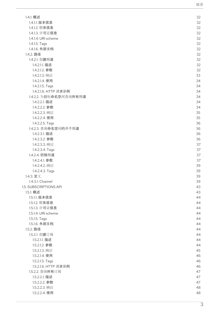|                                | 目录       |
|--------------------------------|----------|
|                                |          |
| 1.4.1. 概述                      | 32       |
| 1.4.1.1. 版本信息                  | 32       |
| 1.4.1.2. 联系信息                  | 32       |
| 1.4.1.3. 许可证信息                 | 32       |
| 1.4.1.4. URI scheme            | 32       |
| 1.4.1.5. Tags                  | 32       |
| 1.4.1.6. 外部文档                  | 32       |
| 1.4.2. 路径                      | 32       |
| 1.4.2.1. 创建频道                  | 32       |
| 1.4.2.1.1. 描述                  | 32       |
| 1.4.2.1.2. 参数                  | 32       |
| 1.4.2.1.3. 响应                  | 33       |
| 1.4.2.1.4. 使用                  | 34       |
| 1.4.2.1.5. Tags                | 34       |
| 1.4.2.1.6. HTTP 请求示例           | 34       |
| 1.4.2.2. 为目标命名空间查询所有频道         | 34       |
| 1.4.2.2.1. 描述                  | 34       |
| 1.4.2.2.2. 参数                  | 34       |
| 1.4.2.2.3. 响应                  | 35       |
| 1.4.2.2.4. 使用                  | 35       |
| 1.4.2.2.5. Tags                | 36       |
| 1.4.2.3. 查询命名空间的单个频道           | 36       |
| 1.4.2.3.1. 描述<br>1.4.2.3.2. 参数 | 36<br>36 |
| 1.4.2.3.3. 响应                  | 37       |
| 1.4.2.3.4. Tags                | 37       |
| 1.4.2.4. 删除频道                  | 37       |
| 1.4.2.4.1. 参数                  | 37       |
| 1.4.2.4.2. 响应                  | 39       |
| 1.4.2.4.3. Tags                | 39       |
| 1.4.3. 定义                      | 39       |
| 1.4.3.1. Channel               | 39       |
| 1.5. SUBSCRIPTIONS API         | 43       |
| 1.5.1. 概述                      | 43       |
| 1.5.1.1. 版本信息                  | 44       |
| 1.5.1.2. 联系信息                  | 44       |
| 1.5.1.3. 许可证信息                 | 44       |
| 1.5.1.4. URI scheme            | 44       |
| 1.5.1.5. Tags                  | 44       |
| 1.5.1.6. 外部文档                  | 44       |
| 1.5.2. 路径                      | 44       |
| 1.5.2.1. 创建订阅                  | 44       |
| 1.5.2.1.1. 描述                  | 44       |
| 1.5.2.1.2. 参数                  | 44       |
| 1.5.2.1.3. 响应                  | 45       |
| 1.5.2.1.4. 使用                  | 46       |
| 1.5.2.1.5. Tags                | 46       |
| 1.5.2.1.6. HTTP 请求示例           | 46       |
| 1.5.2.2. 查询所有订阅                | 47       |
| 1.5.2.2.1. 描述                  | 47       |
| 1.5.2.2.2. 参数                  | 47       |
| 1.5.2.2.3. 响应                  | 48       |
| 1.5.2.2.4. 使用                  | 48       |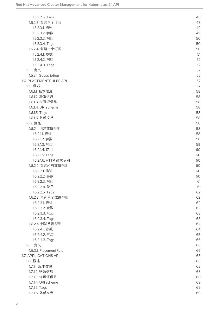| 1.5.2.2.5. Tags         | 48 |
|-------------------------|----|
| 1.5.2.3. 查询单个订阅         | 48 |
| 1.5.2.3.1. 描述           | 49 |
| 1.5.2.3.2. 参数           | 49 |
| 1.5.2.3.3. 响应           | 50 |
| 1.5.2.3.4. Tags         | 50 |
| 1.5.2.4. 创建一个订阅:        | 50 |
| 1.5.2.4.1. 参数           | 51 |
| 1.5.2.4.2. 响应           | 52 |
| 1.5.2.4.3. Tags         | 52 |
| 1.5.3. 定义               | 52 |
| 1.5.3.1. Subscription   | 52 |
| 1.6. PLACEMENTRULES API | 57 |
| 1.6.1. 概述               | 57 |
| 1.6.1.1. 版本信息           | 58 |
| 1.6.1.2. 联系信息           | 58 |
| 1.6.1.3. 许可证信息          | 58 |
| 1.6.1.4. URI scheme     | 58 |
| 1.6.1.5. Tags           | 58 |
| 1.6.1.6. 外部文档           | 58 |
| 1.6.2. 路径               | 58 |
| 1.6.2.1. 创建放置规则         | 58 |
| 1.6.2.1.1. 描述           | 58 |
| 1.6.2.1.2. 参数           | 58 |
|                         |    |
| 1.6.2.1.3. 响应           | 59 |
| 1.6.2.1.4. 使用           | 60 |
| 1.6.2.1.5. Tags         | 60 |
| 1.6.2.1.6. HTTP 请求示例    | 60 |
| 1.6.2.2. 查询所有放置规则       | 60 |
| 1.6.2.2.1. 描述           | 60 |
| 1.6.2.2.2. 参数           | 60 |
| 1.6.2.2.3. 响应           | 61 |
| 1.6.2.2.4. 使用           | 61 |
| 1.6.2.2.5. Tags         | 62 |
| 1.6.2.3. 查询单个放置规则       | 62 |
| 1.6.2.3.1. 描述           | 62 |
| 1.6.2.3.2. 参数           | 62 |
| 1.6.2.3.3. 响应           | 63 |
| 1.6.2.3.4. Tags         | 63 |
| 1.6.2.4. 删除放置规则         | 64 |
| 1.6.2.4.1. 参数           | 64 |
| 1.6.2.4.2. 响应           | 65 |
| 1.6.2.4.3. Tags         | 65 |
| 1.6.3. 定义               | 66 |
| 1.6.3.1. PlacementRule  | 66 |
| 1.7. APPLICATIONS API   | 68 |
| 1.7.1. 概述               | 68 |
| 1.7.1.1. 版本信息           | 68 |
| 1.7.1.2. 联系信息           | 68 |
| 1.7.1.3. 许可证信息          | 68 |
| 1.7.1.4. URI scheme     | 69 |
| 1.7.1.5. Tags           | 69 |
| 1.7.1.6. 外部文档           | 69 |
|                         |    |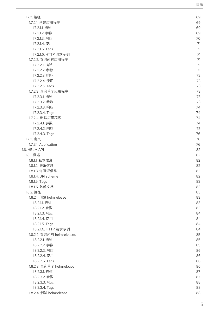|                            | 目录 |
|----------------------------|----|
|                            |    |
| 1.7.2. 路径                  | 69 |
| 1.7.2.1. 创建应用程序            | 69 |
| 1.7.2.1.1. 描述              | 69 |
| 1.7.2.1.2. 参数              | 69 |
| 1.7.2.1.3. 响应              | 70 |
| 1.7.2.1.4. 使用              | 71 |
| 1.7.2.1.5. Tags            | 71 |
| 1.7.2.1.6. HTTP 请求示例       | 71 |
| 1.7.2.2. 查询所有应用程序          | 71 |
| 1.7.2.2.1. 描述              | 71 |
| 1.7.2.2.2. 参数              | 71 |
| 1.7.2.2.3. 响应              | 72 |
| 1.7.2.2.4. 使用              | 73 |
| 1.7.2.2.5. Tags            | 73 |
| 1.7.2.3. 查询单个应用程序          | 73 |
| 1.7.2.3.1. 描述              | 73 |
| 1.7.2.3.2. 参数              | 73 |
| 1.7.2.3.3. 响应              | 74 |
| 1.7.2.3.4. Tags            | 74 |
| 1.7.2.4. 删除应用程序            | 74 |
| 1.7.2.4.1. 参数              | 74 |
| 1.7.2.4.2. 响应              | 75 |
| 1.7.2.4.3. Tags            | 76 |
| 1.7.3. 定义                  | 76 |
| 1.7.3.1. Application       | 76 |
| 1.8. HELM API              | 82 |
| 1.8.1. 概述                  | 82 |
| 1.8.1.1. 版本信息              | 82 |
| 1.8.1.2. 联系信息              | 82 |
| 1.8.1.3. 许可证信息             | 82 |
| 1.8.1.4. URI scheme        | 82 |
| 1.8.1.5. Tags              | 83 |
| 1.8.1.6. 外部文档              | 83 |
| 1.8.2. 路径                  | 83 |
| 1.8.2.1. 创建 helmrelease    | 83 |
| 1.8.2.1.1. 描述              | 83 |
| 1.8.2.1.2. 参数              | 83 |
| 1.8.2.1.3. 响应              | 84 |
| 1.8.2.1.4. 使用              | 84 |
| 1.8.2.1.5. Tags            | 84 |
| 1.8.2.1.6. HTTP 请求示例       | 84 |
| 1.8.2.2. 查询所有 helmreleases | 85 |
| 1.8.2.2.1. 描述              | 85 |
| 1.8.2.2.2. 参数              | 85 |
| 1.8.2.2.3. 响应              | 86 |
| 1.8.2.2.4. 使用              | 86 |
| 1.8.2.2.5. Tags            | 86 |
| 1.8.2.3. 查询单个 helmrelease  | 86 |
| 1.8.2.3.1. 描述              | 87 |
| 1.8.2.3.2. 参数              | 87 |
| 1.8.2.3.3. 响应              | 88 |
| 1.8.2.3.4. Tags            | 88 |
| 1.8.2.4. 删除 helmrelease    | 88 |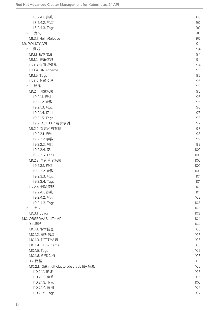| 1.8.2.4.1. 参数                             | 88  |
|-------------------------------------------|-----|
| 1.8.2.4.2. 响应                             | 90  |
| 1.8.2.4.3. Tags                           | 90  |
| 1.8.3. 定义                                 | 90  |
| 1.8.3.1. HelmRelease                      | 90  |
| 1.9. POLICY API                           | 94  |
| 1.9.1. 概述                                 | 94  |
| 1.9.1.1. 版本信息                             | 94  |
| 1.9.1.2. 联系信息                             | 94  |
| 1.9.1.3. 许可证信息                            | 94  |
| 1.9.1.4. URI scheme                       | 95  |
| 1.9.1.5. Tags                             | 95  |
| 1.9.1.6. 外部文档                             | 95  |
| 1.9.2. 路径                                 | 95  |
| 1.9.2.1. 创建策略                             | 95  |
| 1.9.2.1.1. 描述                             | 95  |
| 1.9.2.1.2. 参数                             | 95  |
| 1.9.2.1.3. 响应                             | 96  |
| 1.9.2.1.4. 使用                             | 97  |
| 1.9.2.1.5. Tags                           | 97  |
| 1.9.2.1.6. HTTP 请求示例                      | 97  |
| 1.9.2.2. 查询所有策略                           | 98  |
| 1.9.2.2.1. 描述                             | 98  |
| 1.9.2.2.2. 参数                             | 99  |
| 1.9.2.2.3. 响应                             | 99  |
| 1.9.2.2.4. 使用                             | 100 |
| 1.9.2.2.5. Tags                           | 100 |
| 1.9.2.3. 查询单个策略                           | 100 |
| 1.9.2.3.1. 描述                             | 100 |
| 1.9.2.3.2. 参数                             | 100 |
| 1.9.2.3.3. 响应                             | 101 |
|                                           | 101 |
| 1.9.2.3.4. Tags<br>1.9.2.4. 删除策略          | 101 |
| 1.9.2.4.1. 参数                             | 101 |
| 1.9.2.4.2. 响应                             |     |
|                                           | 102 |
| 1.9.2.4.3. Tags                           | 103 |
| 1.9.3. 定义                                 | 103 |
| 1.9.3.1. policy                           | 103 |
| 1.10. OBSERVABILITY API                   | 104 |
| 1.10.1. 概述                                | 104 |
| 1.10.1.1. 版本信息                            | 105 |
| 1.10.1.2. 联系信息                            | 105 |
| 1.10.1.3. 许可证信息                           | 105 |
| 1.10.1.4. URI scheme                      | 105 |
| 1.10.1.5. Tags                            | 105 |
| 1.10.1.6. 外部文档                            | 105 |
| 1.10.2. 路径                                | 105 |
| 1.10.2.1. 创建 multiclusterobservability 资源 | 105 |
| 1.10.2.1.1. 描述                            | 105 |
| 1.10.2.1.2. 参数                            | 105 |
| 1.10.2.1.3. 响应                            | 106 |
| 1.10.2.1.4. 使用                            | 107 |
| 1.10.2.1.5. Tags                          | 107 |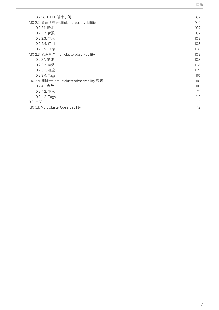| 1.10.2.1.6. HTTP 请求示例                       | 107 |
|---------------------------------------------|-----|
| 1.10.2.2. 查询所有 multiclusterobservabilities  | 107 |
| 1.10.2.2.1. 描述                              | 107 |
| 1.10.2.2.2. 参数                              | 107 |
| 1.10.2.2.3. 响应                              | 108 |
| 1.10.2.2.4. 使用                              | 108 |
| 1.10.2.2.5. Tags                            | 108 |
| 1.10.2.3. 查询单个 multiclusterobservability    | 108 |
| 1.10.2.3.1. 描述                              | 108 |
| 1.10.2.3.2. 参数                              | 108 |
| 1.10.2.3.3. 响应                              | 109 |
| 1.10.2.3.4. Tags                            | 110 |
| 1.10.2.4. 删除一个 multiclusterobservability 资源 | 110 |
| 1.10.2.4.1. 参数                              | 110 |
| 1.10.2.4.2. 响应                              | 111 |
| 1.10.2.4.3. Tags                            | 112 |
| 1.10.3. 定义                                  | 112 |
| 1.10.3.1. MultiClusterObservability         | 112 |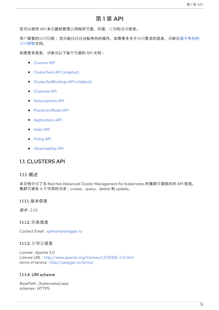## 第 1 章 API

<span id="page-12-0"></span>您可以使用 API 来创建和管理应用程序资源、频道、订阅和查询信息。

用户需要的访问权限: 您只能执[行已分配角色的操作。如需更多关于](../security#role-based-access-control)访问要求的信息, 请参阅基于角色的 访问控制文档。

如需更多信息,请参阅以下每个资源的 API 文档:

- **•** [Clusters](../apis/cluster.json.xml#clusters-api) API
- [ClusterSets](../apis/clusterset.json.xml#clustersets-api) API (v1alpha1)
- [ClusterSetBindings](../apis/clustersetbinding.json.xml#clustersetbindings-api) API (v1alpha1)
- [Channels](../apis/channels.json.xml#channels-api) API  $\bullet$
- **•** [Subscriptions](../apis/subscriptions.json.xml#subscriptions-api) API
- [PlacementRules](../apis/placementrules.json.xml#placementrules-api) API
- [Applications](../apis/application.json.xml#applications-api) API
- [Helm](../apis/helmreleases.json.xml#helm-api) API
- [Policy](../apis/policy.json.xml#policy-api) API
- [Observability](../apis/observability.json.xml#observability-api) API

## <span id="page-12-1"></span>1.1. CLUSTERS API

#### <span id="page-12-2"></span>1.1.1. 概述

本文档介绍了与 Red Hat Advanced Cluster Management for Kubernetes 的集群资源相关的 API 信息。 集群资源有 4 个可用的请求:create、query、delete 和 update。

<span id="page-12-3"></span>1.1.1.1. 版本信息

版本: 2.1.0

<span id="page-12-4"></span>1.1.1.2. 联系信息

*Contact Email* : [apiteam@swagger.io](mailto:apiteam@swagger.io)

#### <span id="page-12-5"></span>1.1.1.3. 许可证信息

*License* : Apache 2.0 *License URL* : <http://www.apache.org/licenses/LICENSE-2.0.html> *terms of service* : <http://swagger.io/terms/>

#### <span id="page-12-6"></span>1.1.1.4. URI scheme

*BasePath :* /kubernetes/apis *schemes* : HTTPS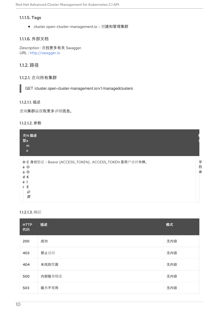## <span id="page-13-0"></span>1.1.1.5. Tags

● cluster.open-cluster-management.io: 创建和管理集群

## <span id="page-13-1"></span>1.1.1.6. 外部文档

*Description* : 查找更多有关 Swagger. *URL* : <http://swagger.io>

## <span id="page-13-2"></span>1.1.2. 路径

## <span id="page-13-3"></span>1.1.2.1. 查询所有集群

GET /cluster.open-cluster-management.io/v1/managedclusters

#### <span id="page-13-4"></span>1.1.2.1.1. 描述

查询集群以获取更多详细信息。

## <span id="page-13-5"></span>1.1.2.1.2. 参数

| 类N 描述<br>型a<br>m<br>e                                                                                                |             |
|----------------------------------------------------------------------------------------------------------------------|-------------|
| H C 身份验证: Bearer {ACCESS_TOKEN}; ACCESS_TOKEN 是用户访问令牌。<br>$\circ$<br>e<br>O<br>a<br>d<br>К<br>e<br>Е<br>r.<br>必<br>需 | 字<br>符<br>串 |

## <span id="page-13-6"></span>1.1.2.1.3. 响应

| <b>HTTP</b><br>代码 | 描述     | 模式  |
|-------------------|--------|-----|
| 200               | 成功     | 无内容 |
| 403               | 禁止访问   | 无内容 |
| 404               | 未找到资源  | 无内容 |
| 500               | 内部服务错误 | 无内容 |
| 503               | 服务不可用  | 无内容 |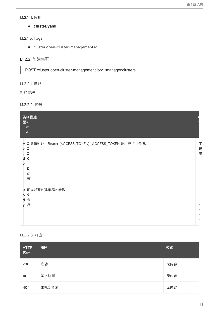#### <span id="page-14-0"></span>1.1.2.1.4. 使用

**cluster/yaml**

## <span id="page-14-1"></span>1.1.2.1.5. Tags

cluster.open-cluster-management.io

## <span id="page-14-2"></span>1.1.2.2. 创建集群

POST /cluster.open-cluster-management.io/v1/managedclusters

## <span id="page-14-3"></span>1.1.2.2.1. 描述

创建集群

## <span id="page-14-4"></span>1.1.2.2.2. 参数

| 型a                          | 类N 描述<br>m<br>$\mathbf{e}$                                                       |             |
|-----------------------------|----------------------------------------------------------------------------------|-------------|
| $e$ O<br>a<br>d K<br>e<br>r | H C 身份验证: Bearer {ACCESS_TOKEN}; ACCESS_TOKEN 是用户访问令牌。<br>$\circ$<br>Е<br>必<br>需 | 字<br>符<br>串 |
| v                           | B 正描述要创建集群的参数。<br>。文<br>d必<br>需                                                  | u<br>s<br>e |

## <span id="page-14-5"></span>1.1.2.2.3. 响应

| <b>HTTP</b><br>代码 | 描述    | 模式  |
|-------------------|-------|-----|
| 200               | 成功    | 无内容 |
| 403               | 禁止访问  | 无内容 |
| 404               | 未找到资源 | 无内容 |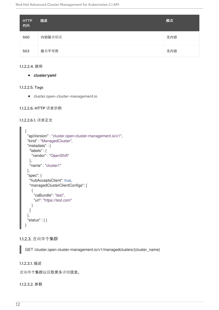| <b>HTTP</b><br>代码 | 描述     | 模式  |
|-------------------|--------|-----|
| 500               | 内部服务错误 | 无内容 |
| 503               | 服务不可用  | 无内容 |

#### <span id="page-15-0"></span>1.1.2.2.4. 使用

**cluster/yaml**

#### <span id="page-15-1"></span>1.1.2.2.5. Tags

cluster.open-cluster-management.io

### <span id="page-15-2"></span>1.1.2.2.6. HTTP 请求示例

#### 1.1.2.2.6.1. 请求正文

```
{
 "apiVersion" : "cluster.open-cluster-management.io/v1",
 "kind" : "ManagedCluster",
 "metadata" : {
  "labels" : {
   "vendor" : "OpenShift"
  },
  "name" : "cluster1"
 },
 "spec": {
  "hubAcceptsClient": true,
  "managedClusterClientConfigs": [
    {
     "caBundle": "test",
     "url": "https://test.com"
   }
  ]
 },
 "status" : { }
}
```
## <span id="page-15-3"></span>1.1.2.3. 查询单个集群

GET /cluster.open-cluster-management.io/v1/managedclusters/{cluster\_name}

## <span id="page-15-4"></span>1.1.2.3.1. 描述

查询单个集群以获取更多详细信息。

#### <span id="page-15-5"></span>1.1.2.3.2. 参数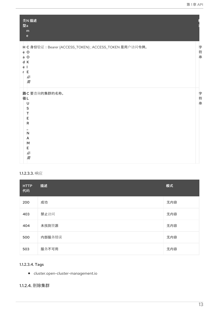| 类N 描述<br>型a<br>m<br>$\mathbf{e}$                                                                               |             |
|----------------------------------------------------------------------------------------------------------------|-------------|
| H C 身份验证: Bearer {ACCESS_TOKEN}; ACCESS_TOKEN 是用户访问令牌。<br>$e$ O<br>a O<br>d K<br>ė<br>- 1<br>E.<br>r<br>必<br>需 | 字<br>符<br>串 |
| 路C要查询的集群的名称。<br>径L<br>U<br>S<br>T<br>Е<br>R<br>N<br>A<br>M<br>E<br>必<br>需                                      | 字符串         |

## <span id="page-16-0"></span>1.1.2.3.3. 响应

| <b>HTTP</b><br>代码 | 描述     | 模式  |
|-------------------|--------|-----|
| 200               | 成功     | 无内容 |
| 403               | 禁止访问   | 无内容 |
| 404               | 未找到资源  | 无内容 |
| 500               | 内部服务错误 | 无内容 |
| 503               | 服务不可用  | 无内容 |

## <span id="page-16-1"></span>1.1.2.3.4. Tags

cluster.open-cluster-management.io

## <span id="page-16-2"></span>1.1.2.4. 删除集群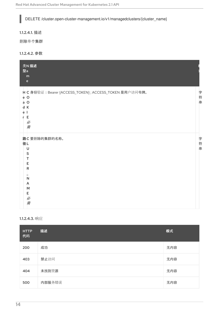DELETE /cluster.open-cluster-management.io/v1/managedclusters/{cluster\_name}

<span id="page-17-0"></span>1.1.2.4.1. 描述

I

删除单个集群

<span id="page-17-1"></span>1.1.2.4.2. 参数

| 类N 描述<br>型a<br>m<br>$\mathbf{e}$                                                                     |         |
|------------------------------------------------------------------------------------------------------|---------|
| H C 身份验证: Bearer {ACCESS_TOKEN}; ACCESS_TOKEN 是用户访问令牌。<br>e O<br>a O<br>d K<br>e<br>Е<br>r<br>必<br>需 | 字符串     |
| 路C要删除的集群的名称。<br>径L<br>U<br>S<br>т<br>Е<br>R<br>$\overline{\mathsf{N}}$<br>A<br>M<br>Е<br>必<br>需      | 字符<br>串 |

#### <span id="page-17-2"></span>1.1.2.4.3. 响应

| <b>HTTP</b><br>代码 | 描述     | 模式  |
|-------------------|--------|-----|
| 200               | 成功     | 无内容 |
| 403               | 禁止访问   | 无内容 |
| 404               | 未找到资源  | 无内容 |
| 500               | 内部服务错误 | 无内容 |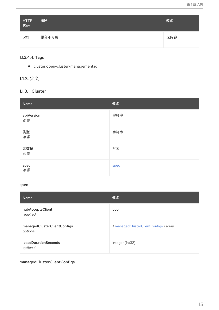| HTTP<br>代码 | 描述    | 模式  |
|------------|-------|-----|
| 503        | 服务不可用 | 无内容 |

## <span id="page-18-0"></span>1.1.2.4.4. Tags

cluster.open-cluster-management.io

# <span id="page-18-1"></span>1.1.3. 定义

# <span id="page-18-2"></span>1.1.3.1. Cluster

| Name                         | 模式   |
|------------------------------|------|
| apiVersion<br>必需             | 字符串  |
| 类型<br>必需                     | 字符串  |
| 元数据<br>必需                    | 对象   |
| spec $\mathscr{B}^{\#}_{\#}$ | spec |

## <span id="page-18-3"></span>spec

| <b>Name</b>                             | 模式                                    |
|-----------------------------------------|---------------------------------------|
| hubAcceptsClient<br>required            | bool                                  |
| managedClusterClientConfigs<br>optional | < managedClusterClientConfigs > array |
| <b>leaseDurationSeconds</b><br>optional | integer (int32)                       |

## <span id="page-18-4"></span>managedClusterClientConfigs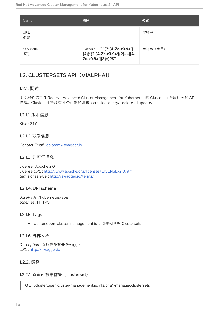| <b>Name</b>      | 描述                                                                                          | 模式       |
|------------------|---------------------------------------------------------------------------------------------|----------|
| <b>URL</b><br>必需 |                                                                                             | 字符串      |
| cabundle<br>可选   | Pattern: "^(?:[A-Za-z0-9+/]<br>${4})^*($ ?:[A-Za-z0-9+/] ${2}=-$ [A-<br>Za-z0-9+/]{3}=)?\$" | 字符串 (字节) |

# <span id="page-19-0"></span>1.2. CLUSTERSETS API (V1ALPHA1)

## <span id="page-19-1"></span>1.2.1. 概述

本文档介绍了与 Red Hat Advanced Cluster Management for Kubernetes 的 Clusterset 资源相关的 API 信息。Clusterset 资源有 4 个可能的请求:create、query、delete 和 update。

## <span id="page-19-2"></span>1.2.1.1. 版本信息

版本: 2.1.0

## <span id="page-19-3"></span>1.2.1.2. 联系信息

*Contact Email* : [apiteam@swagger.io](mailto:apiteam@swagger.io)

## <span id="page-19-4"></span>1.2.1.3. 许可证信息

*License* : Apache 2.0 *License URL* : <http://www.apache.org/licenses/LICENSE-2.0.html> *terms of service* : <http://swagger.io/terms/>

## <span id="page-19-5"></span>1.2.1.4. URI scheme

*BasePath :* /kubernetes/apis *schemes* : HTTPS

## <span id="page-19-6"></span>1.2.1.5. Tags

● cluster.open-cluster-management.io: 创建和管理 Clustersets

## <span id="page-19-7"></span>1.2.1.6. 外部文档

*Description* : 查找更多有关 Swagger. *URL* : <http://swagger.io>

## <span id="page-19-8"></span>1.2.2. 路径

## <span id="page-19-9"></span>1.2.2.1. 查询所有集群集(clusterset)

GET /cluster.open-cluster-management.io/v1alpha1/managedclustersets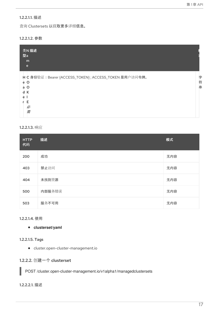## <span id="page-20-0"></span>1.2.2.1.1. 描述

查询 Clustersets 以获取更多详细信息。

## <span id="page-20-1"></span>1.2.2.1.2. 参数

|             | 类N 描述<br>型a<br>m                                                          |             |
|-------------|---------------------------------------------------------------------------|-------------|
|             | e                                                                         |             |
| a<br>d<br>e | H C 身份验证: Bearer {ACCESS_TOKEN}; ACCESS_TOKEN 是用户访问令牌。<br>$e$ O<br>O<br>К | 字<br>符<br>串 |
|             | F                                                                         |             |
|             | 必<br>需                                                                    |             |

#### <span id="page-20-2"></span>1.2.2.1.3. 响应

| <b>HTTP</b><br>代码 | 描述     | 模式  |
|-------------------|--------|-----|
| 200               | 成功     | 无内容 |
| 403               | 禁止访问   | 无内容 |
| 404               | 未找到资源  | 无内容 |
| 500               | 内部服务错误 | 无内容 |
| 503               | 服务不可用  | 无内容 |

## <span id="page-20-3"></span>1.2.2.1.4. 使用

**clusterset/yaml**

## <span id="page-20-4"></span>1.2.2.1.5. Tags

cluster.open-cluster-management.io

## <span id="page-20-5"></span>1.2.2.2. 创建一个 clusterset

POST /cluster.open-cluster-management.io/v1alpha1/managedclustersets

## <span id="page-20-6"></span>1.2.2.2.1. 描述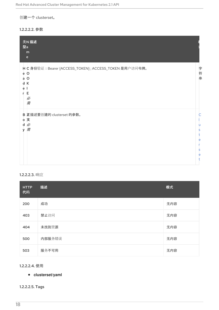创建一个 clusterset。

## <span id="page-21-0"></span>1.2.2.2.2. 参数

| 型a     | 类N 描述<br>m<br>$\mathbf{e}$                                                                 |             |
|--------|--------------------------------------------------------------------------------------------|-------------|
| e<br>r | H C 身份验证: Bearer {ACCESS_TOKEN}; ACCESS_TOKEN 是用户访问令牌。<br>e O<br>a O<br>d K<br>Е<br>必<br>需 | 字<br>符<br>串 |
| d      | B 正描述要创建的 clusterset 的参数。<br>。文<br>必<br>y需                                                 | s<br>e      |

## <span id="page-21-1"></span>1.2.2.2.3. 响应

| <b>HTTP</b><br>代码 | 描述     | 模式  |
|-------------------|--------|-----|
| 200               | 成功     | 无内容 |
| 403               | 禁止访问   | 无内容 |
| 404               | 未找到资源  | 无内容 |
| 500               | 内部服务错误 | 无内容 |
| 503               | 服务不可用  | 无内容 |

## <span id="page-21-2"></span>1.2.2.2.4. 使用

## **clusterset/yaml**

## <span id="page-21-3"></span>1.2.2.2.5. Tags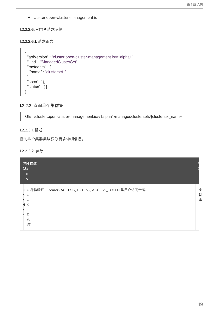cluster.open-cluster-management.io

## <span id="page-22-0"></span>1.2.2.2.6. HTTP 请求示例

#### 1.2.2.2.6.1. 请求正文

```
\{"apiVersion" : "cluster.open-cluster-management.io/v1alpha1",
"kind" : "ManagedClusterSet",
 "metadata" : {
  "name" : "clusterset1"
 },
 "spec": { },
"status" : { }
}
```
<span id="page-22-1"></span>1.2.2.3. 查询单个集群集

GET /cluster.open-cluster-management.io/v1alpha1/managedclustersets/{clusterset\_name}

## <span id="page-22-2"></span>1.2.2.3.1. 描述

查询单个集群集以获取更多详细信息。

## <span id="page-22-3"></span>1.2.2.3.2. 参数

|        | 类N 描述<br>型a<br>m<br>e                                                     |             |
|--------|---------------------------------------------------------------------------|-------------|
| a<br>d | H C 身份验证: Bearer {ACCESS_TOKEN}; ACCESS_TOKEN 是用户访问令牌。<br>$e$ O<br>O<br>К | 字<br>符<br>串 |
| e      | F<br>必<br>需                                                               |             |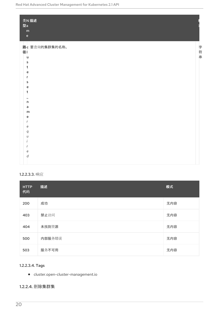| 型a<br>${\sf m}$<br>$\mathsf{e}% _{t}\left( t\right) \equiv\mathsf{e}_{t}\left( t\right)$ | 类N 描述          |     |
|------------------------------------------------------------------------------------------|----------------|-----|
|                                                                                          | 路c 要查询的集群集的名称。 |     |
| 径                                                                                        |                | 字符串 |
| u                                                                                        |                |     |
| s                                                                                        |                |     |
| t                                                                                        |                |     |
| e                                                                                        |                |     |
| r                                                                                        |                |     |
| s                                                                                        |                |     |
| e                                                                                        |                |     |
| t                                                                                        |                |     |
|                                                                                          |                |     |
| 'n                                                                                       |                |     |
| a                                                                                        |                |     |
| m<br>e                                                                                   |                |     |
| r                                                                                        |                |     |
| e                                                                                        |                |     |
| q                                                                                        |                |     |
| U                                                                                        |                |     |
|                                                                                          |                |     |
|                                                                                          |                |     |
| e                                                                                        |                |     |
| d                                                                                        |                |     |
|                                                                                          |                |     |

## <span id="page-23-0"></span>1.2.2.3.3. 响应

| <b>HTTP</b><br>代码 | 描述     | 模式  |
|-------------------|--------|-----|
| 200               | 成功     | 无内容 |
| 403               | 禁止访问   | 无内容 |
| 404               | 未找到资源  | 无内容 |
| 500               | 内部服务错误 | 无内容 |
| 503               | 服务不可用  | 无内容 |

## <span id="page-23-1"></span>1.2.2.3.4. Tags

cluster.open-cluster-management.io

## <span id="page-23-2"></span>1.2.2.4. 删除集群集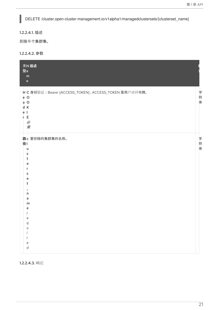DELETE /cluster.open-cluster-management.io/v1alpha1/managedclustersets/{clusterset\_name}

<span id="page-24-0"></span>1.2.2.4.1. 描述

I

删除单个集群集。

<span id="page-24-1"></span>1.2.2.4.2. 参数

| 类N 描述<br>型a<br>${\sf m}$<br>$\mathbf{e}% _{B}=\mathbf{e}_{B}+\mathbf{e}_{B}+\mathbf{e}_{B}+\mathbf{e}_{B}+\mathbf{e}_{B}+\mathbf{e}_{B}+\mathbf{e}_{B}+\mathbf{e}_{B}+\mathbf{e}_{B}+\mathbf{e}_{B}+\mathbf{e}_{B}+\mathbf{e}_{B}+\mathbf{e}_{B}+\mathbf{e}_{B}+\mathbf{e}_{B}+\mathbf{e}_{B}+\mathbf{e}_{B}+\mathbf{e}_{B}+\mathbf{e}_{B}+\mathbf{e}_{B}+\mathbf{e}_{B}+\mathbf{e}_{B}+\mathbf{e}_{B}+\mathbf{e}_{B}+\mathbf{e}_{B}+\mathbf{e}_{B}+\math$ |             |
|------------------------------------------------------------------------------------------------------------------------------------------------------------------------------------------------------------------------------------------------------------------------------------------------------------------------------------------------------------------------------------------------------------------------------------------------------------|-------------|
| H C 身份验证: Bearer {ACCESS_TOKEN}; ACCESS_TOKEN 是用户访问令牌。<br>$e$ O<br>$a$ O<br>d K<br>ė<br>-1<br>r E<br>必<br>需                                                                                                                                                                                                                                                                                                                                                | 字<br>符<br>串 |
| 路c 要删除的集群集的名称。<br>径<br>u<br>s<br>t<br>e<br>s<br>e<br>t<br>'n<br>a<br>m<br>e<br>e<br>a<br>U<br>e<br>d                                                                                                                                                                                                                                                                                                                                                       | 字符<br>串     |

<span id="page-24-2"></span>1.2.2.4.3. 响应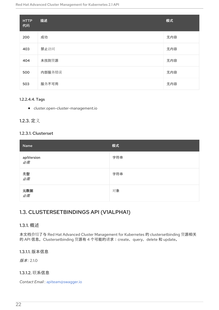| <b>HTTP</b><br>代码 | 描述     | 模式  |
|-------------------|--------|-----|
| 200               | 成功     | 无内容 |
| 403               | 禁止访问   | 无内容 |
| 404               | 未找到资源  | 无内容 |
| 500               | 内部服务错误 | 无内容 |
| 503               | 服务不可用  | 无内容 |

## <span id="page-25-0"></span>1.2.2.4.4. Tags

cluster.open-cluster-management.io

## <span id="page-25-1"></span>1.2.3. 定义

## <span id="page-25-2"></span>1.2.3.1. Clusterset

| Name                    | 模式  |
|-------------------------|-----|
| apiVersion<br><i>必需</i> | 字符串 |
| 类型<br>必需                | 字符串 |
| 元数据<br><i>必需</i>        | 对象  |

# <span id="page-25-3"></span>1.3. CLUSTERSETBINDINGS API (V1ALPHA1)

## <span id="page-25-4"></span>1.3.1. 概述

本文档介绍了与 Red Hat Advanced Cluster Management for Kubernetes 的 clustersetbinding 资源相关 的 API 信息。Clustersetbinding 资源有 4 个可能的请求:create、query、delete 和 update。

## <span id="page-25-5"></span>1.3.1.1. 版本信息

版本: 2.1.0

## <span id="page-25-6"></span>1.3.1.2. 联系信息

*Contact Email* : [apiteam@swagger.io](mailto:apiteam@swagger.io)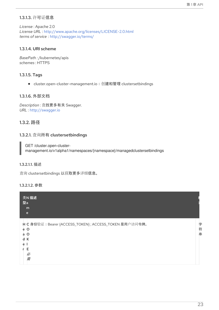## <span id="page-26-0"></span>1.3.1.3. 许可证信息

*License* : Apache 2.0 *License URL* : <http://www.apache.org/licenses/LICENSE-2.0.html> *terms of service* : <http://swagger.io/terms/>

## <span id="page-26-1"></span>1.3.1.4. URI scheme

*BasePath :* /kubernetes/apis *schemes* : HTTPS

## <span id="page-26-2"></span>1.3.1.5. Tags

● cluster.open-cluster-management.io: 创建和管理 clustersetbindings

## <span id="page-26-3"></span>1.3.1.6. 外部文档

*Description* : 查找更多有关 Swagger. *URL* : <http://swagger.io>

## <span id="page-26-4"></span>1.3.2. 路径

## <span id="page-26-5"></span>1.3.2.1. 查询所有 clustersetbindings

GET /cluster.open-clustermanagement.io/v1alpha1/namespaces/{namespace}/managedclustersetbindings

#### <span id="page-26-6"></span>1.3.2.1.1. 描述

查询 clustersetbindings 以获取更多详细信息。

#### <span id="page-26-7"></span>1.3.2.1.2. 参数

| 类N 描述<br>型a<br>m<br>e                                                                                                 |             |
|-----------------------------------------------------------------------------------------------------------------------|-------------|
| H C 身份验证: Bearer {ACCESS_TOKEN}; ACCESS_TOKEN 是用户访问令牌。<br>$\circ$<br>e<br>$\Omega$<br>a<br>d<br>К<br>e<br>Е<br>必<br>需 | 字<br>符<br>串 |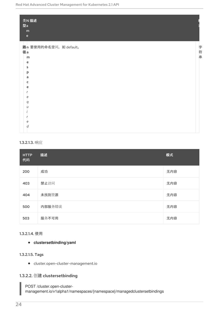| 类N 描述<br>型a<br>${\sf m}$<br>$\mathbf{e}$ |     |
|------------------------------------------|-----|
| 路n 要使用的命名空间, 如 default。                  |     |
| 径a                                       | 字符串 |
| m                                        |     |
| e                                        |     |
| s                                        |     |
| p                                        |     |
| a<br>c                                   |     |
| e                                        |     |
|                                          |     |
| e                                        |     |
| q                                        |     |
| $\iota$                                  |     |
|                                          |     |
|                                          |     |
| e                                        |     |
| d                                        |     |

#### <span id="page-27-0"></span>1.3.2.1.3. 响应

| <b>HTTP</b><br>代码 | 描述     | 模式  |
|-------------------|--------|-----|
| 200               | 成功     | 无内容 |
| 403               | 禁止访问   | 无内容 |
| 404               | 未找到资源  | 无内容 |
| 500               | 内部服务错误 | 无内容 |
| 503               | 服务不可用  | 无内容 |

## <span id="page-27-1"></span>1.3.2.1.4. 使用

### **clustersetbinding/yaml**

#### <span id="page-27-2"></span>1.3.2.1.5. Tags

cluster.open-cluster-management.io

## <span id="page-27-3"></span>1.3.2.2. 创建 clustersetbinding

POST /cluster.open-clustermanagement.io/v1alpha1/namespaces/{namespace}/managedclustersetbindings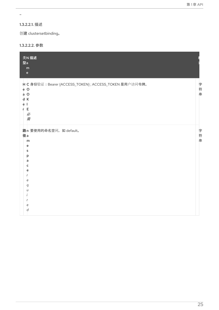÷,

## <span id="page-28-0"></span>1.3.2.2.1. 描述

创建 clustersetbinding。

## <span id="page-28-1"></span>1.3.2.2.2. 参数

| 类N 描述<br>型a<br>${\sf m}$<br>$\mathsf{e}% _{0}\left( \mathsf{e}\right)$                                           |             |
|------------------------------------------------------------------------------------------------------------------|-------------|
| H C 身份验证: Bearer {ACCESS_TOKEN}; ACCESS_TOKEN 是用户访问令牌。<br>e O<br>$a$ O<br>d K<br>e <sub>1</sub><br>r E<br>必<br>需 | 字符<br>串     |
| 路n 要使用的命名空间, 如 default。<br>径a<br>m<br>e<br>s<br>p<br>a<br>c<br>e<br>e<br>q<br>Ù<br>e<br>d                        | 字<br>符<br>串 |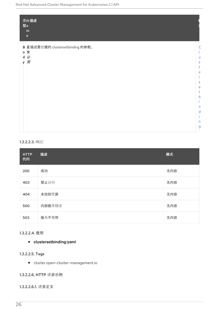|   | 类N 描述<br>型a<br>m<br>$\mathbf{e}% _{t}\left( t\right)$ |   |
|---|-------------------------------------------------------|---|
|   | B 正描述要创建的 clustersetbinding 的参数。                      |   |
|   | 。文                                                    |   |
| y | d必<br>需                                               | u |
|   |                                                       | S |
|   |                                                       | e |
|   |                                                       |   |
|   |                                                       | S |
|   |                                                       | e |
|   |                                                       | h |
|   |                                                       |   |
|   |                                                       | n |
|   |                                                       | d |
|   |                                                       | n |
|   |                                                       | g |
|   |                                                       |   |

## <span id="page-29-0"></span>1.3.2.2.3. 响应

| <b>HTTP</b><br>代码 | 描述     | 模式  |
|-------------------|--------|-----|
| 200               | 成功     | 无内容 |
| 403               | 禁止访问   | 无内容 |
| 404               | 未找到资源  | 无内容 |
| 500               | 内部服务错误 | 无内容 |
| 503               | 服务不可用  | 无内容 |

## <span id="page-29-1"></span>1.3.2.2.4. 使用

## **clustersetbinding/yaml**

## <span id="page-29-2"></span>1.3.2.2.5. Tags

cluster.open-cluster-management.io

## <span id="page-29-3"></span>1.3.2.2.6. HTTP 请求示例

## 1.3.2.2.6.1. 请求正文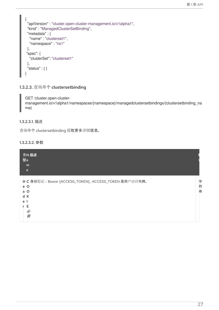```
{
 "apiVersion" : "cluster.open-cluster-management.io/v1alpha1",
 "kind" : "ManagedClusterSetBinding",
 "metadata" : {
  "name" : "clusterset1",
  "namespace" : "ns1"
},
"spec": {
  "clusterSet": "clusterset1"
 },
 "status" : { }
}
```
<span id="page-30-0"></span>1.3.2.3. 查询单个 clustersetbinding

GET /cluster.open-clustermanagement.io/v1alpha1/namespaces/{namespace}/managedclustersetbindings/{clustersetbinding\_na me}

#### <span id="page-30-1"></span>1.3.2.3.1. 描述

查询单个 clustersetbinding 获取更多详细信息。

#### <span id="page-30-2"></span>1.3.2.3.2. 参数

|   | 类N 描述<br>型a<br>m<br>e                                                               |             |
|---|-------------------------------------------------------------------------------------|-------------|
| e | H C 身份验证: Bearer {ACCESS_TOKEN}; ACCESS_TOKEN 是用户访问令牌。<br>e O<br>O<br>a<br>d K<br>F | 字<br>符<br>串 |
|   | 必<br>需                                                                              |             |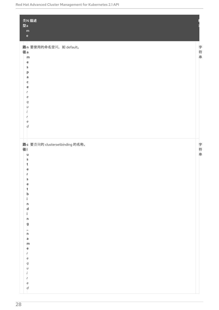| 英N 描述<br>型a<br>${\sf m}$<br>$\mathsf{e}% _{t}\left( t\right) \equiv\mathsf{e}_{t}\left( t\right) ,$                                                                                                                                                                                                 |     |
|-----------------------------------------------------------------------------------------------------------------------------------------------------------------------------------------------------------------------------------------------------------------------------------------------------|-----|
| 路n 要使用的命名空间, 如 default。<br>径a<br>m<br>e<br>\$<br>p<br>a<br>c<br>е<br>е<br>q<br>u<br>е<br>$\boldsymbol{d}$                                                                                                                                                                                           | 字符串 |
| 路c 要查询的 clustersetbinding 的名称。<br>径 <br>u<br>s<br>t<br>е<br>ς<br>e<br>t<br>$\mathsf b$<br>i.<br>$\mathsf{n}$<br>$\sf d$<br>i.<br>$\mathsf{n}$<br>$\mathsf g$<br>$\frac{1}{n}$<br>a<br>m<br>e<br>$\boldsymbol{r}$<br>e<br>$\boldsymbol{q}$<br>U<br>$\prime$<br>r<br>$\mathsf{e}$<br>$\boldsymbol{d}$ | 字符串 |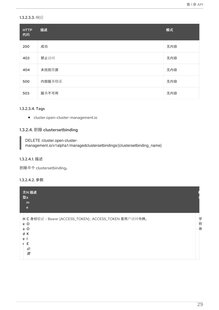#### <span id="page-32-0"></span>1.3.2.3.3. 响应

| <b>HTTP</b><br>代码 | 描述     | 模式  |
|-------------------|--------|-----|
| 200               | 成功     | 无内容 |
| 403               | 禁止访问   | 无内容 |
| 404               | 未找到资源  | 无内容 |
| 500               | 内部服务错误 | 无内容 |
| 503               | 服务不可用  | 无内容 |

#### <span id="page-32-1"></span>1.3.2.3.4. Tags

cluster.open-cluster-management.io

## <span id="page-32-2"></span>1.3.2.4. 删除 clustersetbinding

DELETE /cluster.open-clustermanagement.io/v1alpha1/managedclustersetbindings/{clustersetbinding\_name}

## <span id="page-32-3"></span>1.3.2.4.1. 描述

删除单个 clustersetbinding。

#### <span id="page-32-4"></span>1.3.2.4.2. 参数

| 类N 描述<br>型a<br>m<br>e                                                                                       |             |
|-------------------------------------------------------------------------------------------------------------|-------------|
| H C 身份验证: Bearer {ACCESS_TOKEN}; ACCESS_TOKEN 是用户访问令牌。<br>e O<br>$\circ$<br>a<br>К<br>d<br>е<br>F<br>必<br>需 | 字<br>符<br>串 |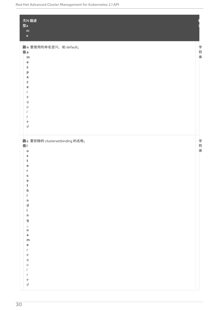| 英N 描述<br>型a<br>${\sf m}$<br>$\mathsf{e}% _{t}\left( t\right)$                                                                                                                                                                                                                                                                                                  |     |
|----------------------------------------------------------------------------------------------------------------------------------------------------------------------------------------------------------------------------------------------------------------------------------------------------------------------------------------------------------------|-----|
| 路n 要使用的命名空间, 如 default。<br>径a<br>m<br>e<br>s<br>p<br>a<br>c<br>е<br>е<br>q<br>u<br>е<br>$\boldsymbol{d}$                                                                                                                                                                                                                                                       | 字符串 |
| 路c 要删除的 clustersetbinding 的名称。<br>径 <br>u<br>s<br>t<br>е<br>s<br>е<br>ţ.<br>b<br>i.<br>$\mathsf{n}$<br>$\begin{array}{c}\n d \\  i\n\end{array}$<br>n<br>g<br>$\frac{1}{n}$<br>$\overline{a}$<br>m<br>$\mathsf{e}\,$<br>$\mathsf{r}$<br>e<br>$\boldsymbol{q}$<br>$\boldsymbol{\mathcal{U}}$<br>Í<br>r<br>$\mathsf{e}% _{t}\left( t\right)$<br>$\boldsymbol{d}$ | 字符串 |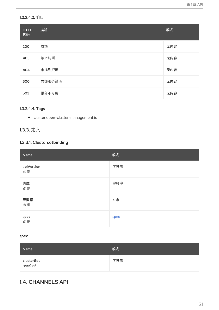## <span id="page-34-0"></span>1.3.2.4.3. 响应

| <b>HTTP</b><br>代码 | 描述     | 模式  |
|-------------------|--------|-----|
| 200               | 成功     | 无内容 |
| 403               | 禁止访问   | 无内容 |
| 404               | 未找到资源  | 无内容 |
| 500               | 内部服务错误 | 无内容 |
| 503               | 服务不可用  | 无内容 |

## <span id="page-34-1"></span>1.3.2.4.4. Tags

cluster.open-cluster-management.io

## <span id="page-34-2"></span>1.3.3. 定义

## <span id="page-34-3"></span>1.3.3.1. Clustersetbinding

| Name             | 模式   |
|------------------|------|
| apiVersion<br>必需 | 字符串  |
| 类型<br>必需         | 字符串  |
| 元数据<br>必需        | 对象   |
| spec<br>必需       | spec |

## <span id="page-34-5"></span>spec

| Name                   | 模式  |
|------------------------|-----|
| clusterSet<br>required | 字符串 |

# <span id="page-34-4"></span>1.4. CHANNELS API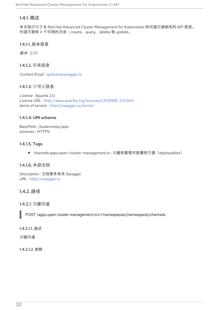## <span id="page-35-0"></span>1.4.1. 概述

本文档介绍了与 Red Hat Advanced Cluster Management for Kubernetes 的频道资源相关的 API 信息。 频道资源有 4 个可用的请求:create、query、delete 和 update。

## <span id="page-35-1"></span>1.4.1.1. 版本信息

版本: 2.1.0

## <span id="page-35-2"></span>1.4.1.2. 联系信息

*Contact Email* : [apiteam@swagger.io](mailto:apiteam@swagger.io)

## <span id="page-35-3"></span>1.4.1.3. 许可证信息

*License* : Apache 2.0 *License URL* : <http://www.apache.org/licenses/LICENSE-2.0.html> *terms of service* : <http://swagger.io/terms/>

## <span id="page-35-4"></span>1.4.1.4. URI scheme

*BasePath :* /kubernetes/apis *schemes* : HTTPS

## <span id="page-35-5"></span>1.4.1.5. Tags

channels.apps.open-cluster-management.io : 创建和管理可部署性资源(deployables)  $\bullet$ 

## <span id="page-35-6"></span>1.4.1.6. 外部文档

*Description* : 查找更多有关 Swagger. *URL* : <http://swagger.io>

## <span id="page-35-7"></span>1.4.2. 路径

## <span id="page-35-8"></span>1.4.2.1. 创建频道

POST /apps.open-cluster-management.io/v1/namespaces/{namespace}/channels

#### <span id="page-35-9"></span>1.4.2.1.1. 描述

创建频道

## <span id="page-35-10"></span>1.4.2.1.2. 参数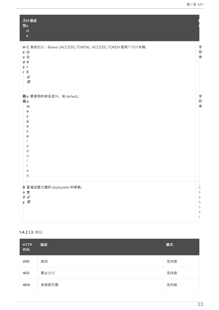| 类N描述<br>型a<br>${\sf m}$<br>$\mathsf{e}% _{t}\left( t\right)$                                            |                            |
|---------------------------------------------------------------------------------------------------------|----------------------------|
| H C 身份验证: Bearer {ACCESS_TOKEN}; ACCESS_TOKEN 是用户访问令牌。<br>e O<br>a O<br>d K<br>e I<br>E.<br>r<br>必<br>需 | 字符<br>串                    |
| 路n 要使用的命名空间, 如 default。<br>径a<br>m<br>e<br>s<br>p<br>a<br>c<br>e<br>е<br>q<br>е<br>d                    | 字<br>符<br>串                |
| B 正描述要创建的 deployable 的参数。<br>。文<br>d必<br>y 需                                                            | C<br>h<br>a<br>n<br>n<br>е |

# 1.4.2.1.3. 响应

| <b>HTTP</b><br>代码 | 描述    | 模式  |
|-------------------|-------|-----|
| 200               | 成功    | 无内容 |
| 403               | 禁止访问  | 无内容 |
| 404               | 未找到资源 | 无内容 |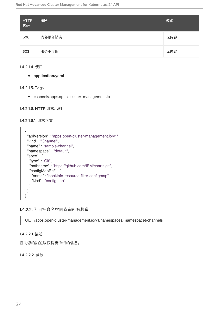| <b>HTTP</b><br>代码 | 描述     | 模式  |
|-------------------|--------|-----|
| 500               | 内部服务错误 | 无内容 |
| 503               | 服务不可用  | 无内容 |

#### 1.4.2.1.4. 使用

**application/yaml**

#### 1.4.2.1.5. Tags

channels.apps.open-cluster-management.io

## 1.4.2.1.6. HTTP 请求示例

#### 1.4.2.1.6.1. 请求正文



1.4.2.2. 为目标命名空间查询所有频道

GET /apps.open-cluster-management.io/v1/namespaces/{namespace}/channels

#### 1.4.2.2.1. 描述

查询您的频道以获得更详细的信息。

#### 1.4.2.2.2. 参数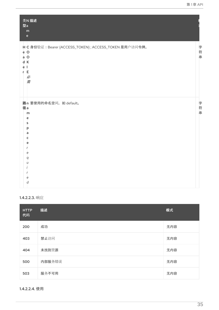| 类N 描述<br>型a<br>m<br>$\mathsf{e}% _{t}\left( t\right)$                                                                 |     |
|-----------------------------------------------------------------------------------------------------------------------|-----|
| H C 身份验证: Bearer {ACCESS_TOKEN}; ACCESS_TOKEN 是用户访问令牌。<br>e O<br>$a$ O<br>d K<br>ė<br>$\blacksquare$<br>r E<br>必<br>需 | 字符串 |
| 路n 要使用的命名空间, 如 default。<br>径a<br>m<br>e<br>s<br>p<br>a<br>c<br>e<br>e<br>q<br>U<br>e<br>d                             | 字符串 |

## 1.4.2.2.3. 响应

| <b>HTTP</b><br>代码 | 描述     | 模式  |
|-------------------|--------|-----|
| 200               | 成功     | 无内容 |
| 403               | 禁止访问   | 无内容 |
| 404               | 未找到资源  | 无内容 |
| 500               | 内部服务错误 | 无内容 |
| 503               | 服务不可用  | 无内容 |

1.4.2.2.4. 使用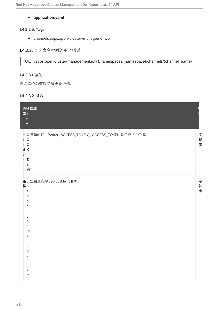## **application/yaml**

#### 1.4.2.2.5. Tags

channels.apps.open-cluster-management.io

## 1.4.2.3. 查询命名空间的单个频道

GET /apps.open-cluster-management.io/v1/namespaces/{namespace}/channels/{channel\_name}

### 1.4.2.3.1. 描述

I

查询单个频道以了解更多详情。

#### 1.4.2.3.2. 参数

| 类N 描述<br>型a<br>m<br>$\mathsf{e}% _{t}\left( t\right) \equiv\mathsf{e}_{t}\left( t\right)$                                                  |                    |
|--------------------------------------------------------------------------------------------------------------------------------------------|--------------------|
| H C 身份验证: Bearer {ACCESS_TOKEN}; ACCESS_TOKEN 是用户访问令牌。<br>e O<br>$a$ O<br>d K<br>ė<br>-1<br>E<br>r<br>必<br>需                               | 字<br>符<br>$\equiv$ |
| 路c 您要查询的 deployable 的名称。<br>径h<br>$\overline{a}$<br>'n<br>n<br>e<br>$\mathsf{n}$<br>a<br>m<br>e<br>r<br>e<br>q<br>U<br>е<br>$\overline{d}$ | 字符串                |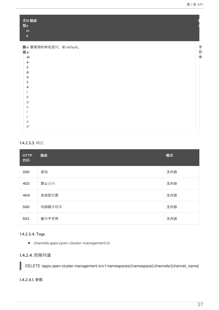| 类N 描述<br>型a<br>${\sf m}$<br>$\mathbf{e}% _{0}\left( \mathbf{1}\right)$ |     |
|------------------------------------------------------------------------|-----|
| 路n 要使用的命名空间, 如 default。                                                |     |
| 径a                                                                     |     |
| m                                                                      | 字符串 |
| e                                                                      |     |
| s                                                                      |     |
| р                                                                      |     |
| a                                                                      |     |
| c                                                                      |     |
| e                                                                      |     |
|                                                                        |     |
| e                                                                      |     |
| q                                                                      |     |
| $\iota$                                                                |     |
|                                                                        |     |
|                                                                        |     |
| e                                                                      |     |
| d                                                                      |     |

### 1.4.2.3.3. 响应

| <b>HTTP</b><br>代码 | 描述     | 模式  |
|-------------------|--------|-----|
| 200               | 成功     | 无内容 |
| 403               | 禁止访问   | 无内容 |
| 404               | 未找到资源  | 无内容 |
| 500               | 内部服务错误 | 无内容 |
| 503               | 服务不可用  | 无内容 |

## 1.4.2.3.4. Tags

channels.apps.open-cluster-management.io

# 1.4.2.4. 删除频道

DELETE /apps.open-cluster-management.io/v1/namespaces/{namespace}/channels/{channel\_name}

#### 1.4.2.4.1. 参数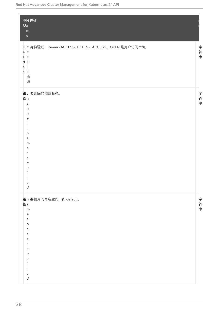| 类N 描述<br>型a<br>${\sf m}$<br>$\mathbf{e}$                                                                           |             |
|--------------------------------------------------------------------------------------------------------------------|-------------|
| H C 身份验证: Bearer {ACCESS_TOKEN}; ACCESS_TOKEN 是用户访问令牌。<br>$e$ O<br>$a$ O<br>d K<br>e <sub>1</sub><br>r E<br>必<br>需 | 字<br>符串     |
| 路c 要删除的频道名称。<br>径h<br>a<br>'n<br>n<br>e<br>'n<br>a<br>m<br>e<br>r<br>e<br>q<br>U<br>I<br>е<br>d                    | 字符串         |
| 路n 要使用的命名空间, 如 default。<br>径a<br>m<br>e<br>s<br>p<br>a<br>c<br>e<br>r<br>е<br>q<br>U<br>е<br>d                     | 字<br>符<br>串 |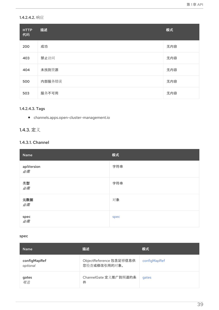# 1.4.2.4.2. 响应

| <b>HTTP</b><br>代码 | 描述     | 模式  |
|-------------------|--------|-----|
| 200               | 成功     | 无内容 |
| 403               | 禁止访问   | 无内容 |
| 404               | 未找到资源  | 无内容 |
| 500               | 内部服务错误 | 无内容 |
| 503               | 服务不可用  | 无内容 |

## 1.4.2.4.3. Tags

channels.apps.open-cluster-management.io

# 1.4.3. 定义

# 1.4.3.1. Channel

| Name             | 模式   |
|------------------|------|
| apiVersion<br>必需 | 字符串  |
| 类型<br>必需         | 字符串  |
| 元数据<br>必需        | 对象   |
| spec<br>必需       | spec |

#### <span id="page-42-0"></span>spec

| <b>Name</b>              | 描述                                      | 模式           |
|--------------------------|-----------------------------------------|--------------|
| configMapRef<br>optional | ObjectReference 包含足够信息供<br>您检查或修改引用的对象。 | configMapRef |
| gates<br>可选              | ChannelGate 定义推广到频道的条<br>件              | gates        |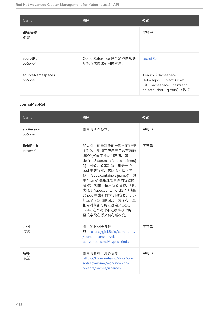| <b>Name</b>                  | 描述                                      | 模式                                                                                                     |
|------------------------------|-----------------------------------------|--------------------------------------------------------------------------------------------------------|
| 路径名称<br>必需                   |                                         | 字符串                                                                                                    |
| secretRef<br>optional        | ObjectReference 包含足够信息供<br>您检查或修改引用的对象。 | secretRef                                                                                              |
| sourceNamespaces<br>optional |                                         | < enum (Namespace,<br>HelmRepo, ObjectBucket,<br>Git, namespace, helmrepo,<br>objectbucket、qithub) >数组 |

# <span id="page-43-0"></span>configMapRef

| <b>Name</b>            | 描述                                                                                                                                                                                                                                                                                                                                                   | 模式  |
|------------------------|------------------------------------------------------------------------------------------------------------------------------------------------------------------------------------------------------------------------------------------------------------------------------------------------------------------------------------------------------|-----|
| apiVersion<br>optional | 引用的 API 版本。                                                                                                                                                                                                                                                                                                                                          | 字符串 |
| fieldPath<br>optional  | 如果引用的是对象的一部分而非整<br>个对象, 则该字符串应包含有效的<br>JSON/Go 字段访问声明, 如<br>desiredState.manifest.containers[<br>2]。例如, 如果对象引用是一个<br>pod 中的容器, 它应该还以下类<br>似: "spec.containers{name}" (其<br>中"name"是指触发事件的容器的<br>名称),如果不使用容器名称,则应<br>类似于 "spec.containers[2]" (使用<br>此 pod 中索引值为 2 的容器)。选<br>择这个语法的原因是,为了有一些<br>指向对象部分的正确定义方法。<br>Todo: 这个设计不是最终设计的,<br>且该字段在将来会有所改变。 | 字符串 |
| kind<br>可选             | 引用的 kind更多信<br>息: https://git.k8s.io/community<br>/contributors/devel/api-<br>conventions.md#types-kinds                                                                                                                                                                                                                                             | 字符串 |
| 名称<br>可选               | 引用的名称。更多信息:<br>https://kubernetes.io/docs/conc<br>epts/overview/working-with-<br>objects/names/#names                                                                                                                                                                                                                                                | 字符串 |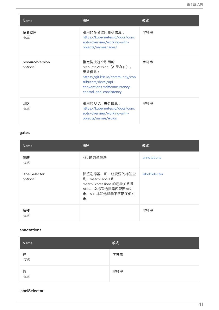<span id="page-44-0"></span>

| <b>Name</b>                 | 描述                                                                                                                                                                  | 模式  |
|-----------------------------|---------------------------------------------------------------------------------------------------------------------------------------------------------------------|-----|
| 命名空间<br>可选                  | 引用的命名空间更多信息:<br>https://kubernetes.io/docs/conc<br>epts/overview/working-with-<br>objects/namespaces/                                                               | 字符串 |
| resourceVersion<br>optional | 指定构成这个引用的<br>resourceVersion (如果存在)。<br>更多信息:<br>https://git.k8s.io/community/con<br>tributors/devel/api-<br>conventions.md#concurrency-<br>control-and-consistency | 字符串 |
| <b>UID</b><br>可选            | 引用的 UID。更多信息:<br>https://kubernetes.io/docs/conc<br>epts/overview/working-with-<br>objects/names/#uids                                                              | 字符串 |

## <span id="page-44-1"></span>gates

| <b>Name</b>               | 描述                                                                                                           | 模式            |
|---------------------------|--------------------------------------------------------------------------------------------------------------|---------------|
| 注解<br>可选                  | k8s 的典型注解                                                                                                    | annotations   |
| labelSelector<br>optional | 标签选择器,即一组资源的标签查<br>询。matchLabels 和<br>matchExpressions 的逻辑关系是<br>AND。空标签选择器匹配所有对<br>象。null 标签选择器不匹配任何对<br>象。 | labelSelector |
| 名称<br>可选                  |                                                                                                              | 字符串           |

#### <span id="page-44-2"></span>annotations

| Name    | 模式  |
|---------|-----|
| 键<br>可选 | 字符串 |
| 值<br>可选 | 字符串 |

#### <span id="page-44-3"></span>labelSelector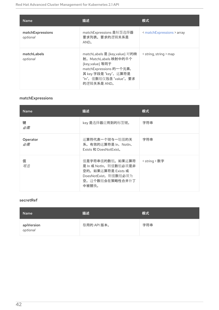| <b>Name</b>                  | 描述                                                                                                                                                                     | 模式                         |
|------------------------------|------------------------------------------------------------------------------------------------------------------------------------------------------------------------|----------------------------|
| matchExpressions<br>optional | matchExpressions 是标签选择器<br>要求列表。要求的逻辑关系是<br>AND <sub>o</sub>                                                                                                           | < matchExpressions > array |
| matchLabels<br>optional      | matchLabels 是 {key,value} 对的映<br>射。MatchLabels 映射中的单个<br>{key,value} 等同于<br>matchExpressions 的一个元素,<br>其 key 字段是 "key", 运算符是<br>"In", 值数组仅包含 "value"。要求<br>的逻辑关系是 AND。 | < string, string > map     |

# <span id="page-45-1"></span>matchExpressions

| <b>Name</b>    | 描述                                                                                                                   | 模式            |
|----------------|----------------------------------------------------------------------------------------------------------------------|---------------|
| 键<br>必需        | key 是选择器应用到的标签键。                                                                                                     | 字符串           |
| Operator<br>必需 | 运算符代表一个键与一组值的关<br>系。有效的运算符是 In、Notln、<br>Exists 和 DoesNotExist。                                                      | 字符串           |
| 值<br>可选        | 值是字符串值的数组。如果运算符<br>是 In 或 Notln, 则值数组必须是非<br>空的。如果运算符是 Exists 或<br>DoesNotExist, 则值数组必须为<br>空。这个数组会在策略性合并补丁<br>中被替换。 | < string > 数字 |

#### <span id="page-45-0"></span>secretRef

| <b>Name</b>            | 描述          | 模式  |
|------------------------|-------------|-----|
| apiVersion<br>optional | 引用的 API 版本。 | 字符串 |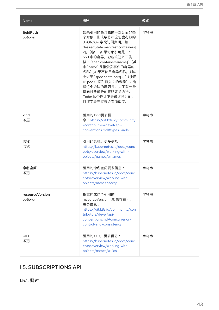| <b>Name</b>                 | 描述                                                                                                                                                                                                                                                                                                                                                      | 模式  |
|-----------------------------|---------------------------------------------------------------------------------------------------------------------------------------------------------------------------------------------------------------------------------------------------------------------------------------------------------------------------------------------------------|-----|
| fieldPath<br>optional       | 如果引用的是对象的一部分而非整<br>个对象, 则该字符串应包含有效的<br>JSON/Go 字段访问声明, 如<br>desiredState.manifest.containers[<br>2]。例如, 如果对象引用是一个<br>pod 中的容器, 它应该还以下类<br>似: "spec.containers{name}" (其<br>中 "name" 是指触发事件的容器的<br>名称),如果不使用容器名称,则应<br>类似于 "spec.containers[2]" (使用<br>此 pod 中索引值为 2 的容器)。选<br>择这个语法的原因是, 为了有一些<br>指向对象部分的正确定义方法。<br>Todo: 这个设计不是最终设计的,<br>且该字段在将来会有所改变。 | 字符串 |
| kind<br>可选                  | 引用的 kind更多信<br>息: https://git.k8s.io/community<br>/contributors/devel/api-<br>conventions.md#types-kinds                                                                                                                                                                                                                                                | 字符串 |
| 名称<br>可选                    | 引用的名称。更多信息:<br>https://kubernetes.io/docs/conc<br>epts/overview/working-with-<br>objects/names/#names                                                                                                                                                                                                                                                   | 字符串 |
| 命名空间<br>可选                  | 引用的命名空间更多信息:<br>https://kubernetes.io/docs/conc<br>epts/overview/working-with-<br>objects/namespaces/                                                                                                                                                                                                                                                   | 字符串 |
| resourceVersion<br>optional | 指定构成这个引用的<br>resourceVersion (如果存在)。<br>更多信息:<br>https://git.k8s.io/community/con<br>tributors/devel/api-<br>conventions.md#concurrency-<br>control-and-consistency                                                                                                                                                                                     | 字符串 |
| <b>UID</b><br>可选            | 引用的 UID。更多信息:<br>https://kubernetes.io/docs/conc<br>epts/overview/working-with-<br>objects/names/#uids                                                                                                                                                                                                                                                  | 字符串 |

# 1.5. SUBSCRIPTIONS API

1.5.1. 概述

本文档介绍了与 Red Hat Advanced Cluster Management for Kubernetes 的订阅资源相关的 API 信息。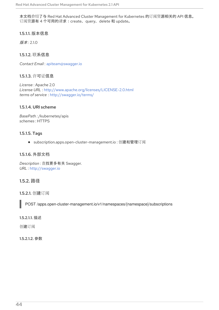本文档介绍了与 Red Hat Advanced Cluster Management for Kubernetes 的订阅资源相关的 API 信息。 订阅资源有 4 个可用的请求:create、query、delete 和 update。

1.5.1.1. 版本信息

版本: 2.1.0

1.5.1.2. 联系信息

*Contact Email* : [apiteam@swagger.io](mailto:apiteam@swagger.io)

1.5.1.3. 许可证信息

*License* : Apache 2.0 *License URL* : <http://www.apache.org/licenses/LICENSE-2.0.html> *terms of service* : <http://swagger.io/terms/>

## 1.5.1.4. URI scheme

*BasePath :* /kubernetes/apis *schemes* : HTTPS

## 1.5.1.5. Tags

● subscription.apps.open-cluster-management.io: 创建和管理订阅

### 1.5.1.6. 外部文档

*Description* : 查找更多有关 Swagger. *URL* : <http://swagger.io>

## 1.5.2. 路径

1.5.2.1. 创建订阅

POST /apps.open-cluster-management.io/v1/namespaces/{namespace}/subscriptions

#### 1.5.2.1.1. 描述

创建订阅

#### 1.5.2.1.2. 参数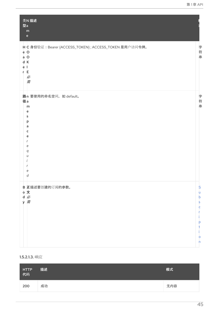| 类N描述<br>型a<br>${\sf m}$<br>$\mathsf{e}% _{t}\left( t\right) \equiv\mathsf{e}_{t}\left( t\right) ,$       |                                      |
|----------------------------------------------------------------------------------------------------------|--------------------------------------|
| H C 身份验证: Bearer {ACCESS_TOKEN}; ACCESS_TOKEN 是用户访问令牌。<br>e O<br>$a$ O<br>d K<br>e I<br>E<br>r<br>必<br>需 | 字符<br>串                              |
| 路n 要使用的命名空间, 如 default。<br>径a<br>m<br>e<br>s<br>p<br>a<br>c<br>e<br>е<br>q<br>е<br>d                     | 字符串                                  |
| B 正描述要创建的订阅的参数。<br>o 文<br>d必<br>y 需                                                                      | S<br>u<br>b<br>s<br>c<br>D<br>o<br>n |

### 1.5.2.1.3. 响应

| _HTTP<br>_代码 | 描述 | 模式  |
|--------------|----|-----|
| 200          | 成功 | 无内容 |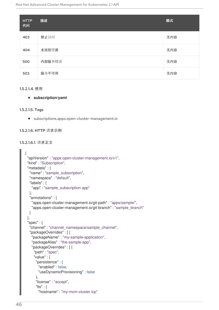| <b>HTTP</b><br>代码 | 描述     | 模式  |
|-------------------|--------|-----|
| 403               | 禁止访问   | 无内容 |
| 404               | 未找到资源  | 无内容 |
| 500               | 内部服务错误 | 无内容 |
| 503               | 服务不可用  | 无内容 |

#### 1.5.2.1.4. 使用

**subscription/yaml**

#### 1.5.2.1.5. Tags

subscriptions.apps.open-cluster-management.io

#### 1.5.2.1.6. HTTP 请求示例

#### 1.5.2.1.6.1. 请求正文

```
{
"apiVersion" : "apps.open-cluster-management.io/v1",
"kind" : "Subscription",
"metadata" : {
  "name" : "sample_subscription",
  "namespace" : "default",
  "labels" : {
   "app" : "sample_subscription-app"
  },
  "annotations" : {
   "apps.open-cluster-management.io/git-path" : "apps/sample/",
   "apps.open-cluster-management.io/git-branch" : "sample_branch"
  }
},
"spec" : {
  "channel" : "channel_namespace/sample_channel",
  "packageOverrides" : [ {
   "packageName" : "my-sample-application",
   "packageAlias" : "the-sample-app",
   "packageOverrides" : [ {
    "path" : "spec",
    "value" : {
      "persistence" : {
       "enabled" : false,
       "useDynamicProvisioning" : false
     },
     "license" : "accept",
      "tls" : {
       "hostname" : "my-mcm-cluster.icp"
```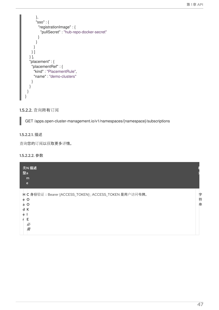```
},
       "sso" : {
        "registrationImage" : {
         "pullSecret" : "hub-repo-docker-secret"
       }
      }
     }
   } ]
  } ],
  "placement" : {
   "placementRef" : {
     "kind" : "PlacementRule",
     "name" : "demo-clusters"
   }
  }
 }
}
```
#### 1.5.2.2. 查询所有订阅

GET /apps.open-cluster-management.io/v1/namespaces/{namespace}/subscriptions

#### 1.5.2.2.1. 描述

查询您的订阅以获取更多详情。

#### 1.5.2.2.2. 参数

| 类N 描述<br>型a<br>m<br>e                                                                                       |             |
|-------------------------------------------------------------------------------------------------------------|-------------|
| H C 身份验证: Bearer {ACCESS_TOKEN}; ACCESS_TOKEN 是用户访问令牌。<br>e O<br>$\circ$<br>a<br>К<br>d<br>e<br>Е<br>必<br>需 | 字<br>符<br>串 |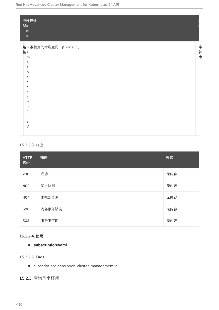| 类N描述<br>型a<br>${\bf m}$<br>$\mathsf{e}% _{0}\left( \mathsf{e}\right)$ |    |
|-----------------------------------------------------------------------|----|
| 路n 要使用的命名空间, 如 default。                                               | 字  |
| 径a                                                                    |    |
| m                                                                     | 符串 |
| e                                                                     |    |
| s                                                                     |    |
| p                                                                     |    |
| a                                                                     |    |
| c                                                                     |    |
| e                                                                     |    |
| e                                                                     |    |
| q                                                                     |    |
| $\iota$                                                               |    |
|                                                                       |    |
|                                                                       |    |
| e                                                                     |    |
| d                                                                     |    |
|                                                                       |    |

## 1.5.2.2.3. 响应

| <b>HTTP</b><br>代码 | 描述     | 模式  |
|-------------------|--------|-----|
| 200               | 成功     | 无内容 |
| 403               | 禁止访问   | 无内容 |
| 404               | 未找到资源  | 无内容 |
| 500               | 内部服务错误 | 无内容 |
| 503               | 服务不可用  | 无内容 |

## 1.5.2.2.4. 使用

## **subscription/yaml**

# 1.5.2.2.5. Tags

subscriptions.apps.open-cluster-management.io

# 1.5.2.3. 查询单个订阅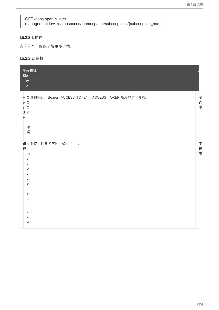## GET /apps.open-clustermanagement.io/v1/namespaces/{namespace}/subscriptions/{subscription\_name}

#### 1.5.2.3.1. 描述

查询单个订阅以了解更多详情。

#### 1.5.2.3.2. 参数

| 类N 描述<br>型a<br>m<br>$\mathbf{e}$                                                                      |     |
|-------------------------------------------------------------------------------------------------------|-----|
| H C 身份验证: Bearer {ACCESS_TOKEN}; ACCESS_TOKEN 是用户访问令牌。<br>e O<br>a O<br>d K<br>ėІ<br>E<br>r<br>必<br>需 | 字符串 |
| 路n 要使用的命名空间, 如 default。<br>径a<br>m<br>e<br>s<br>р<br>a<br>c<br>е<br>e<br>q<br>U<br>е<br>d             | 字符串 |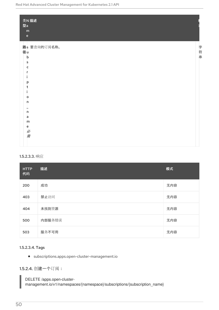| 类N 描述<br>型a                                                             |     |
|-------------------------------------------------------------------------|-----|
| m                                                                       |     |
| $\mathsf{e}% _{t}\left( t\right) \equiv\mathsf{e}_{t}\left( t\right) ,$ |     |
| 路s 要查询的订阅名称。                                                            |     |
| 径u                                                                      | 字符串 |
| $\mathsf b$                                                             |     |
| s                                                                       |     |
| c                                                                       |     |
|                                                                         |     |
|                                                                         |     |
| p                                                                       |     |
| т                                                                       |     |
| $\circ$                                                                 |     |
| 'n                                                                      |     |
|                                                                         |     |
| 'n                                                                      |     |
| a                                                                       |     |
| m                                                                       |     |
| e                                                                       |     |
| 必需                                                                      |     |
|                                                                         |     |
|                                                                         |     |

## 1.5.2.3.3. 响应

| <b>HTTP</b><br>代码 | 描述     | 模式  |
|-------------------|--------|-----|
| 200               | 成功     | 无内容 |
| 403               | 禁止访问   | 无内容 |
| 404               | 未找到资源  | 无内容 |
| 500               | 内部服务错误 | 无内容 |
| 503               | 服务不可用  | 无内容 |

## 1.5.2.3.4. Tags

subscriptions.apps.open-cluster-management.io

1.5.2.4. 创建一个订阅:

DELETE /apps.open-clustermanagement.io/v1/namespaces/{namespace}/subscriptions/{subscription\_name}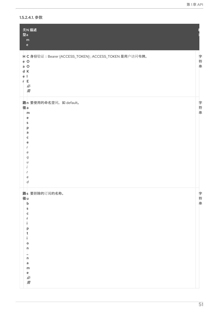1.5.2.4.1. 参数

| 类N 描述<br>型a<br>${\sf m}$<br>$\mathsf{e}% _{t}\left( t\right) \equiv\mathsf{e}_{t}\left( t\right) ,$    |     |
|--------------------------------------------------------------------------------------------------------|-----|
| H C 身份验证: Bearer {ACCESS_TOKEN}; ACCESS_TOKEN 是用户访问令牌。<br>e O<br>$a$ O<br>d K<br>ė<br>r E<br>必<br>需    | 字符串 |
| 路n 要使用的命名空间, 如 default。<br>径a<br>m<br>e<br>s<br>p<br>a<br>c<br>e<br>е<br>q<br>$\iota$<br>е<br>d        | 字符串 |
| 路s 要删除的订阅的名称。<br>径u<br>$\mathsf b$<br>s<br>c<br>p<br>t<br>$\circ$<br>'n<br>'n<br>a<br>m<br>e<br>必<br>需 | 字符串 |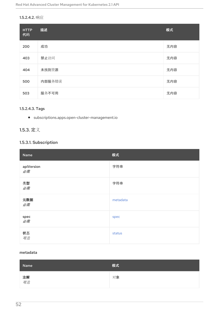# 1.5.2.4.2. 响应

| <b>HTTP</b><br>代码 | 描述     | 模式  |
|-------------------|--------|-----|
| 200               | 成功     | 无内容 |
| 403               | 禁止访问   | 无内容 |
| 404               | 未找到资源  | 无内容 |
| 500               | 内部服务错误 | 无内容 |
| 503               | 服务不可用  | 无内容 |

## 1.5.2.4.3. Tags

subscriptions.apps.open-cluster-management.io

# 1.5.3. 定义

# 1.5.3.1. Subscription

| Name             | 模式       |
|------------------|----------|
| apiVersion<br>必需 | 字符串      |
| 类型<br>必需         | 字符串      |
| 元数据<br>必需        | metadata |
| spec<br>必需       | spec     |
| 状态<br>可选         | status   |

#### <span id="page-55-0"></span>metadata

| Name            | 模式 |
|-----------------|----|
| 注解<br><i>可选</i> | 对象 |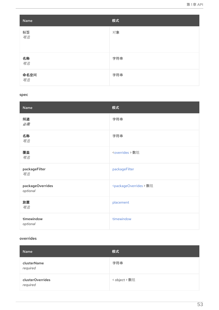| Name                     | 模式  |
|--------------------------|-----|
| 标签<br>可选                 | 对象  |
| 名称<br>可选                 | 字符串 |
| <b>命名空间</b><br><i>可选</i> | 字符串 |

#### <span id="page-56-0"></span>spec

| Name                         | 模式                                      |
|------------------------------|-----------------------------------------|
| 频道<br>必需                     | 字符串                                     |
| 名称<br>可选                     | 字符串                                     |
| 覆盖<br>可选                     | <overrides> 数组</overrides>              |
| packageFilter<br>可选          | packageFilter                           |
| packageOverrides<br>optional | <packageoverrides>数组</packageoverrides> |
| 放置<br>可选                     | placement                               |
| timewindow<br>optional       | timewindow                              |

# <span id="page-56-1"></span>overrides

| Name                         | 模式            |
|------------------------------|---------------|
| clusterName<br>required      | 字符串           |
| clusterOverrides<br>required | < object > 数组 |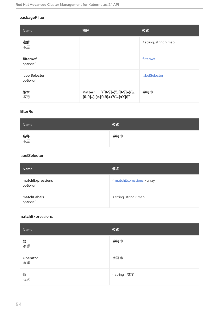## <span id="page-57-0"></span>packageFilter

| <b>Name</b>               | 描述                                                                 | 模式                     |
|---------------------------|--------------------------------------------------------------------|------------------------|
| 注解<br>可选                  |                                                                    | < string, string > map |
| filterRef<br>optional     |                                                                    | filterRef              |
| labelSelector<br>optional |                                                                    | labelSelector          |
| 版本<br>可选                  | Pattern : $"([0-9]+) \$ [0-9]+)<br>[0-9]+) (\\.[0-9]+)?(\\.[xX]\$" | 字符串                    |

## <span id="page-57-1"></span>filterRef

| Name            | 模式  |
|-----------------|-----|
| 名称<br><i>可选</i> | 字符串 |

## <span id="page-57-2"></span>labelSelector

| <b>Name</b>                  | 模式                         |
|------------------------------|----------------------------|
| matchExpressions<br>optional | < matchExpressions > array |
| matchLabels<br>optional      | < string, string > map     |

# <span id="page-57-3"></span>matchExpressions

| Name                  | 模式            |
|-----------------------|---------------|
| 键<br>必需               | 字符串           |
| Operator<br><i>必需</i> | 字符串           |
| 值<br>可选               | < string > 数字 |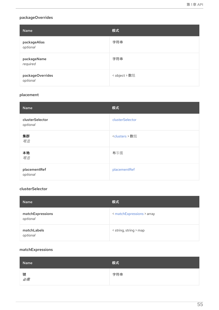## <span id="page-58-1"></span><span id="page-58-0"></span>packageOverrides

| <b>Name</b>                  | 模式            |
|------------------------------|---------------|
| packageAlias<br>optional     | 字符串           |
| packageName<br>required      | 字符串           |
| packageOverrides<br>optional | < object > 数组 |

# <span id="page-58-2"></span>placement

| Name                        | 模式                       |
|-----------------------------|--------------------------|
| clusterSelector<br>optional | clusterSelector          |
| 集群<br>可选                    | <clusters> 数组</clusters> |
| 本地<br>可选                    | 布尔值                      |
| placementRef<br>optional    | placementRef             |

## <span id="page-58-3"></span>clusterSelector

| <b>Name</b>                  | 模式                         |
|------------------------------|----------------------------|
| matchExpressions<br>optional | < matchExpressions > array |
| matchLabels<br>optional      | < string, string > map     |

## <span id="page-58-4"></span>matchExpressions

| Name    | 模式  |
|---------|-----|
| 键<br>必需 | 字符串 |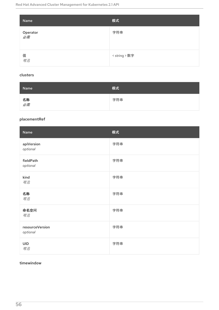| Name                  | 模式            |
|-----------------------|---------------|
| Operator<br><i>必需</i> | 字符串           |
| 值<br>可选               | < string > 数字 |

## <span id="page-59-1"></span>clusters

| Name            | 模式  |
|-----------------|-----|
| 名称<br><i>必需</i> | 字符串 |

# <span id="page-59-2"></span>placementRef

| Name                        | 模式  |
|-----------------------------|-----|
| apiVersion<br>optional      | 字符串 |
| fieldPath<br>optional       | 字符串 |
| kind<br>可选                  | 字符串 |
| 名称<br>可选                    | 字符串 |
| 命名空间<br>可选                  | 字符串 |
| resourceVersion<br>optional | 字符串 |
| <b>UID</b><br>可选            | 字符串 |

## <span id="page-59-0"></span>timewindow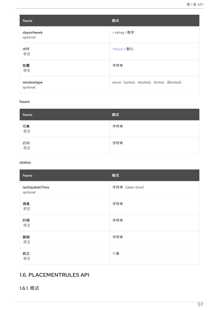| Name                   | 模式                                      |
|------------------------|-----------------------------------------|
| daysofweek<br>optional | < string > 数字                           |
| 小时<br>可选               | <hours> 数组</hours>                      |
| 位置<br>可选               | 字符串                                     |
| windowtype<br>optional | enum (active, blocked, Active, Blocked) |

#### <span id="page-60-1"></span>hours

| Name     | 模式  |
|----------|-----|
| 结束<br>可选 | 字符串 |
| 启动<br>可选 | 字符串 |

#### <span id="page-60-0"></span>status

| Name                       | 模式              |
|----------------------------|-----------------|
| lastUpdateTime<br>optional | 字符串 (date-time) |
| 消息<br>可选                   | 字符串             |
| 阶段<br>可选                   | 字符串             |
| 原因<br>可选                   | 字符串             |
| 状态<br>可选                   | 对象              |

# 1.6. PLACEMENTRULES API

# 1.6.1. 概述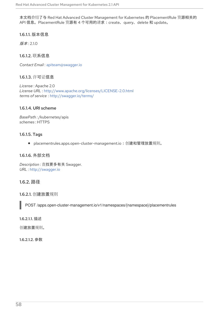本文档介绍了与 Red Hat Advanced Cluster Management for Kubernetes 的 PlacementRule 资源相关的 API 信息。PlacementRule 资源有 4 个可用的请求:create、query、delete 和 update。

1.6.1.1. 版本信息

 $$$ 版本·210

1.6.1.2. 联系信息

*Contact Email* : [apiteam@swagger.io](mailto:apiteam@swagger.io)

1.6.1.3. 许可证信息

*License* : Apache 2.0 *License URL* : <http://www.apache.org/licenses/LICENSE-2.0.html> *terms of service* : <http://swagger.io/terms/>

## 1.6.1.4. URI scheme

*BasePath :* /kubernetes/apis *schemes* : HTTPS

## 1.6.1.5. Tags

placementrules.apps.open-cluster-management.io:创建和管理放置规则。  $\bullet$ 

## 1.6.1.6. 外部文档

*Description* : 查找更多有关 Swagger. *URL* : <http://swagger.io>

# 1.6.2. 路径

1.6.2.1. 创建放置规则

POST /apps.open-cluster-management.io/v1/namespaces/{namespace}/placementrules

1.6.2.1.1. 描述

创建放置规则。

1.6.2.1.2. 参数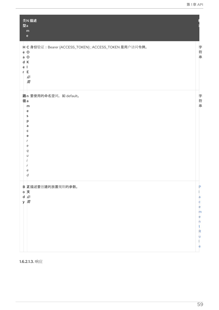| 型a                            | 类N 描述<br>m<br>$\mathsf{e}% _{t}\left( t\right)$                                |                                                               |  |
|-------------------------------|--------------------------------------------------------------------------------|---------------------------------------------------------------|--|
| e O<br>a O<br>d K<br>e l<br>r | H C 身份验证: Bearer {ACCESS_TOKEN}; ACCESS_TOKEN 是用户访问令牌。<br>E.<br>必<br>需         | 字符串                                                           |  |
| 径a                            | 路n 要使用的命名空间, 如 default。<br>m<br>е<br>s<br>p<br>a<br>c<br>e<br>е<br>q<br>е<br>d | 字符串                                                           |  |
|                               | B 正描述要创建的放置规则的参数。<br>。文<br>d必<br>y需                                            | P<br>a<br>¢<br>e<br>m<br>e<br>n<br>t<br>$\mathsf R$<br>ū<br>e |  |

1.6.2.1.3. 响应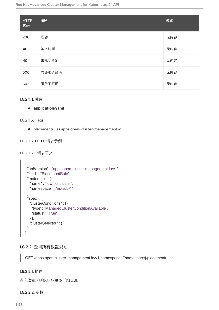| <b>HTTP</b><br>代码 | 描述     | 模式  |
|-------------------|--------|-----|
| 200               | 成功     | 无内容 |
| 403               | 禁止访问   | 无内容 |
| 404               | 未找到资源  | 无内容 |
| 500               | 内部服务错误 | 无内容 |
| 503               | 服务不可用  | 无内容 |

#### 1.6.2.1.4. 使用

#### **application/yaml**

#### 1.6.2.1.5. Tags

placementrules.apps.open-cluster-management.io

#### 1.6.2.1.6. HTTP 请求示例

#### 1.6.2.1.6.1. 请求正文

```
{
 "apiVersion" : "apps.open-cluster-management.io/v1",
 "kind" : "PlacementRule",
 "metadata" : {
  "name" : "towhichcluster",
  "namespace" : "ns-sub-1"
 },
 "spec" : {
  "clusterConditions" : [ {
    "type": "ManagedClusterConditionAvailable",
    "status": "True"
  } ],
  "clusterSelector" : { }
 }
}
```
## 1.6.2.2. 查询所有放置规则

GET /apps.open-cluster-management.io/v1/namespaces/{namespace}/placementrules

## 1.6.2.2.1. 描述

查询放置规则以获取更多详细信息。

#### 1.6.2.2.2. 参数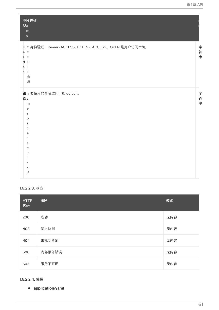| 类N 描述<br>型a<br>m<br>$\mathsf{e}% _{t}\left( t\right) \equiv\mathsf{e}_{t}\left( t\right)$                |             |
|----------------------------------------------------------------------------------------------------------|-------------|
| H C 身份验证: Bearer {ACCESS_TOKEN}; ACCESS_TOKEN 是用户访问令牌。<br>e O<br>$a$ O<br>d K<br>e l<br>E<br>r<br>必<br>需 | 字<br>符<br>串 |
| 路n 要使用的命名空间, 如 default。<br>径a<br>m<br>e<br>s<br>р<br>a<br>c<br>e<br>e<br>q<br>U<br>e<br>d                | 字<br>符<br>串 |

# 1.6.2.2.3. 响应

| <b>HTTP</b><br>代码 | 描述     | 模式  |
|-------------------|--------|-----|
| 200               | 成功     | 无内容 |
| 403               | 禁止访问   | 无内容 |
| 404               | 未找到资源  | 无内容 |
| 500               | 内部服务错误 | 无内容 |
| 503               | 服务不可用  | 无内容 |

1.6.2.2.4. 使用

**application/yaml**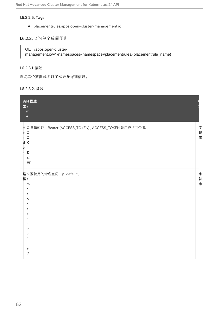#### 1.6.2.2.5. Tags

placementrules.apps.open-cluster-management.io

### 1.6.2.3. 查询单个放置规则

GET /apps.open-clustermanagement.io/v1/namespaces/{namespace}/placementrules/{placementrule\_name}

### 1.6.2.3.1. 描述

查询单个放置规则以了解更多详细信息。

#### 1.6.2.3.2. 参数

| 类N 描述<br>型a<br>m<br>$\mathbf{e}$                                                                                 |         |
|------------------------------------------------------------------------------------------------------------------|---------|
| H C 身份验证: Bearer {ACCESS_TOKEN}; ACCESS_TOKEN 是用户访问令牌。<br>e O<br>$a$ O<br>d K<br>e <sub>l</sub><br>r E<br>必<br>需 | 字<br>符串 |
| 路n 要使用的命名空间, 如 default。<br>径a<br>m<br>e<br>s<br>p<br>a<br>c<br>e<br>e<br>q<br>Ù<br>e<br>d                        | 字符串     |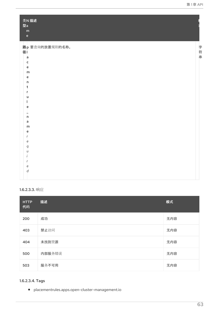| 类N 描述<br>型a<br>${\sf m}$<br>$\mathsf{e}% _{t}\left( t\right) \equiv\mathsf{e}_{t}\left( t\right) ,$ |     |
|-----------------------------------------------------------------------------------------------------|-----|
| 路p 要查询的放置规则的名称。<br>径<br>a<br>¢<br>e                                                                 | 字符串 |
| m<br>e<br>'n.<br>t<br>r<br>u                                                                        |     |
| e<br>h.<br>a<br>m                                                                                   |     |
| e<br>е<br>q<br>U                                                                                    |     |
| е<br>$\boldsymbol{d}$                                                                               |     |

# 1.6.2.3.3. 响应

| <b>HTTP</b><br>代码 | 描述     | 模式  |
|-------------------|--------|-----|
| 200               | 成功     | 无内容 |
| 403               | 禁止访问   | 无内容 |
| 404               | 未找到资源  | 无内容 |
| 500               | 内部服务错误 | 无内容 |
| 503               | 服务不可用  | 无内容 |

# 1.6.2.3.4. Tags

placementrules.apps.open-cluster-management.io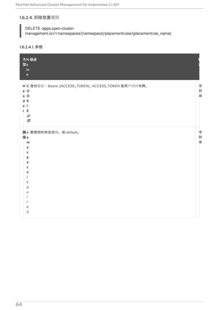## 1.6.2.4. 删除放置规则

DELETE /apps.open-cluster-

management.io/v1/namespaces/{namespace}/placementrules/{placementrule\_name}

## 1.6.2.4.1. 参数

| 类N 描述<br>型a<br>m<br>$\mathsf{e}% _{t}\left( t\right)$                                                     |            |
|-----------------------------------------------------------------------------------------------------------|------------|
| H C 身份验证: Bearer {ACCESS_TOKEN}; ACCESS_TOKEN 是用户访问令牌。<br>e O<br>$a$ O<br>d K<br>ė<br>л.<br>r E<br>必<br>需 | 字<br>- 符 串 |
| 路n 要使用的命名空间, 如 default。<br>径a<br>m<br>e<br>s<br>р<br>a<br>c<br>e<br>е<br>q<br>U<br>e<br>d                 | 字符串        |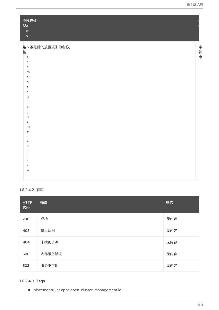| 类N描述<br>型a<br>${\sf m}$<br>$\mathsf{e}% _{t}\left( t\right) \equiv\mathsf{e}_{t}\left( t\right) ,$ |     |
|----------------------------------------------------------------------------------------------------|-----|
| 路p 要删除的放置规则的名称。<br>径<br>a<br>$\mathsf{c}$<br>e                                                     | 字符串 |
| m<br>e<br>'n<br>t                                                                                  |     |
| u<br>e<br>'n                                                                                       |     |
| a<br>m<br>e<br>е<br>q                                                                              |     |
| U<br>е<br>$\overline{d}$                                                                           |     |

### 1.6.2.4.2. 响应

| <b>HTTP</b><br>代码 | 描述     | 模式  |
|-------------------|--------|-----|
| 200               | 成功     | 无内容 |
| 403               | 禁止访问   | 无内容 |
| 404               | 未找到资源  | 无内容 |
| 500               | 内部服务错误 | 无内容 |
| 503               | 服务不可用  | 无内容 |

# 1.6.2.4.3. Tags

placementrules.apps.open-cluster-management.io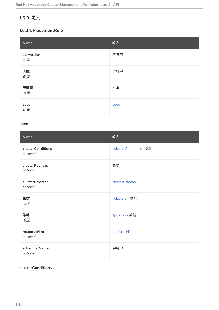# 1.6.3. 定义

## 1.6.3.1. PlacementRule

| Name             | 模式   |
|------------------|------|
| apiVersion<br>必需 | 字符串  |
| 类型<br>必需         | 字符串  |
| 元数据<br>必需        | 对象   |
| spec<br>必需       | spec |

#### <span id="page-69-0"></span>spec

| <b>Name</b>                          | 模式                                         |
|--------------------------------------|--------------------------------------------|
| <b>clusterConditions</b><br>optional | <clusterconditions> 数组</clusterconditions> |
| clusterReplicas<br>optional          | 整数                                         |
| clusterSelector<br>optional          | clusterSelector                            |
| 集群<br>可选                             | <clusters> 数组</clusters>                   |
| 策略<br>可选                             | <policies> 数组</policies>                   |
| resourceHint<br>optional             | resourceHint                               |
| schedulerName<br>optional            | 字符串                                        |

# <span id="page-69-1"></span>clusterConditions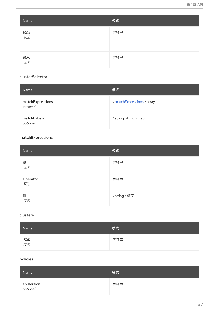<span id="page-70-0"></span>

| Name     | 模式  |
|----------|-----|
| 状态<br>可选 | 字符串 |
| 输入<br>可选 | 字符串 |

# <span id="page-70-1"></span>clusterSelector

| <b>Name</b>                  | 模式                         |
|------------------------------|----------------------------|
| matchExpressions<br>optional | < matchExpressions > array |
| matchLabels<br>optional      | < string, string > map     |

# <span id="page-70-4"></span>matchExpressions

| Name                  | 模式            |
|-----------------------|---------------|
| 键<br>可选               | 字符串           |
| Operator<br><i>可选</i> | 字符串           |
| 值<br>可选               | < string > 数字 |

#### <span id="page-70-2"></span>clusters

| Name            | 模式  |
|-----------------|-----|
| 名称<br><i>可选</i> | 字符串 |

# <span id="page-70-3"></span>policies

| Name                          | 模式  |
|-------------------------------|-----|
| <b>apiVersion</b><br>optional | 字符串 |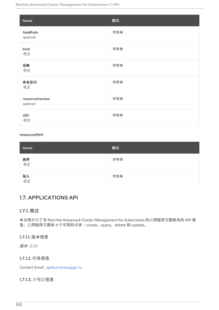| Name                        | 模式  |
|-----------------------------|-----|
| fieldPath<br>optional       | 字符串 |
| kind<br>可选                  | 字符串 |
| 名称<br>可选                    | 字符串 |
| 命名空间<br>可选                  | 字符串 |
| resourceVersion<br>optional | 字符串 |
| <b>UID</b><br>可选            | 字符串 |

#### <span id="page-71-0"></span>resourceHint

| Name     | 模式  |
|----------|-----|
| 排序<br>可选 | 字符串 |
| 输入<br>可选 | 字符串 |

# 1.7. APPLICATIONS API

## 1.7.1. 概述

本文档介绍了与 Red Hat Advanced Cluster Management for Kubernetes 的应用程序资源相关的 API 信 息。应用程序资源有 4 个可用的请求:create、query、delete 和 update。

## 1.7.1.1. 版本信息

版本: 2.1.0

## 1.7.1.2. 联系信息

*Contact Email* : [apiteam@swagger.io](mailto:apiteam@swagger.io)

## 1.7.1.3. 许可证信息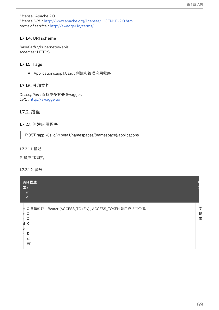*License* : Apache 2.0 *License URL* : <http://www.apache.org/licenses/LICENSE-2.0.html> *terms of service* : <http://swagger.io/terms/>

# 1.7.1.4. URI scheme

*BasePath :* /kubernetes/apis *schemes* : HTTPS

# 1.7.1.5. Tags

● Applications.app.k8s.io: 创建和管理应用程序

## 1.7.1.6. 外部文档

*Description* : 查找更多有关 Swagger. *URL* : <http://swagger.io>

# 1.7.2. 路径

# 1.7.2.1. 创建应用程序

POST /app.k8s.io/v1beta1/namespaces/{namespace}/applications

### 1.7.2.1.1. 描述

创建应用程序。

## 1.7.2.1.2. 参数

| 类N 描述<br>型a<br>m<br>e                                                                                                |             |
|----------------------------------------------------------------------------------------------------------------------|-------------|
| H C 身份验证: Bearer {ACCESS_TOKEN}; ACCESS_TOKEN 是用户访问令牌。<br>$\circ$<br>e<br>$\circ$<br>a<br>К<br>d<br>e<br>F<br>必<br>需 | 字<br>符<br>串 |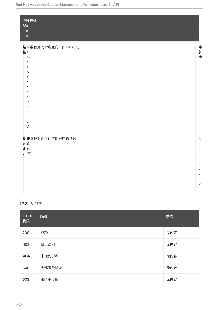| 类N 描述<br>型a<br>m<br>$\mathsf{e}% _{0}\left( \mathsf{e}\right)$                                                                               |                                                            |
|----------------------------------------------------------------------------------------------------------------------------------------------|------------------------------------------------------------|
| 路n 要使用的命名空间, 如 default。<br>径a<br>m<br>e<br>$\mathsf{s}$<br>þ<br>a<br>c<br>e<br>r<br>e<br>$\boldsymbol{q}$<br>U<br>r<br>e<br>$\boldsymbol{d}$ | 字符串                                                        |
| B 正描述要创建的应用程序的参数。<br>。文<br>d必<br>y 需                                                                                                         | A<br>þ<br>Þ<br>c<br>a<br>t<br>O<br>$\overline{\mathsf{n}}$ |

# 1.7.2.1.3. 响应

| <b>HTTP</b><br>代码 | 描述     | 模式  |
|-------------------|--------|-----|
| 200               | 成功     | 无内容 |
| 403               | 禁止访问   | 无内容 |
| 404               | 未找到资源  | 无内容 |
| 500               | 内部服务错误 | 无内容 |
| 503               | 服务不可用  | 无内容 |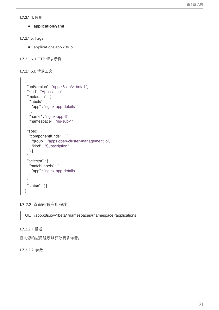#### 1.7.2.1.4. 使用

**application/yaml**

#### 1.7.2.1.5. Tags

applications.app.k8s.io

```
1.7.2.1.6. HTTP 请求示例
```

```
1.7.2.1.6.1. 请求正文
```

```
{
 "apiVersion" : "app.k8s.io/v1beta1",
 "kind" : "Application",
 "metadata" : {
  "labels" : {
   "app" : "nginx-app-details"
  },
  "name" : "nginx-app-3",
  "namespace" : "ns-sub-1"
 },
 "spec" : {
  "componentKinds" : [ {
   "group" : "apps.open-cluster-management.io",
   "kind" : "Subscription"
  } ]
 },
 "selector" : {
  "matchLabels" : {
   "app" : "nginx-app-details"
  }
 },
 "status" : { }
}
```
1.7.2.2. 查询所有应用程序

GET /app.k8s.io/v1beta1/namespaces/{namespace}/applications

### 1.7.2.2.1. 描述

查询您的应用程序以获取更多详情。

## 1.7.2.2.2. 参数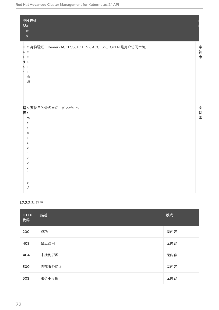Red Hat Advanced Cluster Management for Kubernetes 2.1 API

| 类N 描述<br>型a<br>m<br>$\mathsf{e}% _{0}\left( \mathsf{e}\right)$                                                                                                                                            |         |
|-----------------------------------------------------------------------------------------------------------------------------------------------------------------------------------------------------------|---------|
| H C 身份验证: Bearer {ACCESS_TOKEN}; ACCESS_TOKEN 是用户访问令牌。<br>$e$ O<br>$a$ O<br>d K<br>e <sub>1</sub><br>r El<br>必<br>需                                                                                       | 字符<br>串 |
| 路n 要使用的命名空间, 如 default。<br>径a<br>m<br>$\mathsf{e}\,$<br>s<br>þ<br>a<br>¢<br>e<br>r<br>$\mathsf{e}% _{t}\left( t\right)$<br>$\boldsymbol{q}$<br>U<br>$\mathsf{e}% _{t}\left( t\right)$<br>$\boldsymbol{d}$ | 字符串     |

# 1.7.2.2.3. 响应

| <b>HTTP</b><br>代码 | 描述     | 模式  |
|-------------------|--------|-----|
| 200               | 成功     | 无内容 |
| 403               | 禁止访问   | 无内容 |
| 404               | 未找到资源  | 无内容 |
| 500               | 内部服务错误 | 无内容 |
| 503               | 服务不可用  | 无内容 |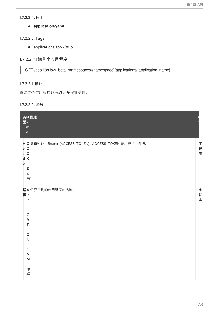#### 1.7.2.2.4. 使用

**application/yaml**

### 1.7.2.2.5. Tags

applications.app.k8s.io

# 1.7.2.3. 查询单个应用程序

GET /app.k8s.io/v1beta1/namespaces/{namespace}/applications/{application\_name}

# 1.7.2.3.1. 描述

查询单个应用程序以获取更多详细信息。

#### 1.7.2.3.2. 参数

| 类N 描述<br>型a<br>${\sf m}$<br>$\mathbf{e}$                                                                |             |
|---------------------------------------------------------------------------------------------------------|-------------|
| H C 身份验证: Bearer {ACCESS_TOKEN}; ACCESS_TOKEN 是用户访问令牌。<br>e O<br>a O<br>d K<br>ė<br>E<br>r.<br>必<br>需   | 字<br>符<br>串 |
| 路A您要查询的应用程序的名称。<br>径P<br>P<br>с<br>A<br>т<br>O<br>N<br>$\overline{\mathsf{N}}$<br>A<br>M<br>Е<br>必<br>需 | 字符串         |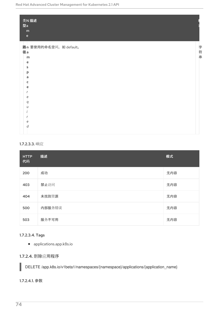| 类N 描述<br>型a<br>${\sf m}$<br>$\mathsf{e}% _{t}\left( t\right) \equiv\mathsf{e}_{t}\left( t\right)$ |     |
|---------------------------------------------------------------------------------------------------|-----|
| 路n 要使用的命名空间, 如 default。                                                                           |     |
| 径a                                                                                                |     |
| m                                                                                                 | 字符串 |
| e                                                                                                 |     |
| s                                                                                                 |     |
| þ                                                                                                 |     |
| a                                                                                                 |     |
| c                                                                                                 |     |
| e                                                                                                 |     |
|                                                                                                   |     |
| e                                                                                                 |     |
| q                                                                                                 |     |
| U                                                                                                 |     |
|                                                                                                   |     |
| e                                                                                                 |     |
| d                                                                                                 |     |
|                                                                                                   |     |

## 1.7.2.3.3. 响应

| <b>HTTP</b><br>代码 | 描述     | 模式  |
|-------------------|--------|-----|
| 200               | 成功     | 无内容 |
| 403               | 禁止访问   | 无内容 |
| 404               | 未找到资源  | 无内容 |
| 500               | 内部服务错误 | 无内容 |
| 503               | 服务不可用  | 无内容 |

# 1.7.2.3.4. Tags

applications.app.k8s.io

# 1.7.2.4. 删除应用程序

DELETE /app.k8s.io/v1beta1/namespaces/{namespace}/applications/{application\_name}

1.7.2.4.1. 参数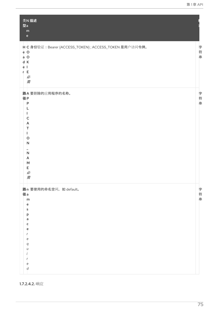| 类N 描述<br>型a<br>m<br>$\mathsf{e}% _{t}\left( t\right) \equiv\mathsf{e}_{t}\left( t\right)$                       |             |
|-----------------------------------------------------------------------------------------------------------------|-------------|
| H C 身份验证: Bearer {ACCESS_TOKEN}; ACCESS_TOKEN 是用户访问令牌。<br>$e$ O<br>$a$ O<br>d K<br>е<br>- 1<br>Е<br>r<br>必<br>需 | 字符串         |
| 路A 要删除的应用程序的名称。<br>径P<br>P<br>с<br>A<br>т<br>O<br>N<br>N<br>A<br>M<br>Е<br>必<br>需                               | 字符串         |
| 路n 要使用的命名空间, 如 default。<br>径a<br>m<br>e<br>s<br>p<br>a<br>c<br>e<br>r<br>e<br>q<br>U<br>r<br>e<br>d             | 字<br>符<br>串 |

1.7.2.4.2. 响应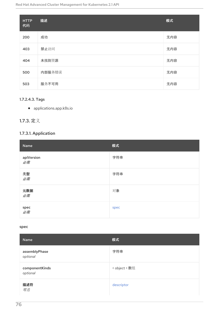| <b>HTTP</b><br>代码 | 描述     | 模式  |
|-------------------|--------|-----|
| 200               | 成功     | 无内容 |
| 403               | 禁止访问   | 无内容 |
| 404               | 未找到资源  | 无内容 |
| 500               | 内部服务错误 | 无内容 |
| 503               | 服务不可用  | 无内容 |

# 1.7.2.4.3. Tags

applications.app.k8s.io

# 1.7.3. 定义

# 1.7.3.1. Application

| Name                         | 模式   |
|------------------------------|------|
| apiVersion<br>必需             | 字符串  |
| 类型<br>必需                     | 字符串  |
| 元数据<br>必需                    | 对象   |
| spec $\mathscr{B}^{\#}_{\#}$ | spec |

#### <span id="page-79-0"></span>spec

| Name                       | 模式            |
|----------------------------|---------------|
| assemblyPhase<br>optional  | 字符串           |
| componentKinds<br>optional | < object > 数组 |
| 描述符<br>可选                  | descriptor    |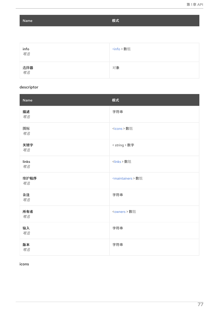Name <br>
Name <br>
サンプライバ - インファイル - インファイル - 模式

| info<br><i>可选</i> | <info> 数组</info> |
|-------------------|------------------|
| 选择器<br><i>可选</i>  | 对象               |

# <span id="page-80-0"></span>descriptor

| Name        | 模式                             |
|-------------|--------------------------------|
| 描述<br>可选    | 字符串                            |
| 图标<br>可选    | <icons> 数组</icons>             |
| 关键字<br>可选   | < string > 数字                  |
| links<br>可选 | <links>数组</links>              |
| 维护程序<br>可选  | <maintainers> 数组</maintainers> |
| 备注<br>可选    | 字符串                            |
| 所有者<br>可选   | <owners> 数组</owners>           |
| 输入<br>可选    | 字符串                            |
| 版本<br>可选    | 字符串                            |

<span id="page-80-1"></span>icons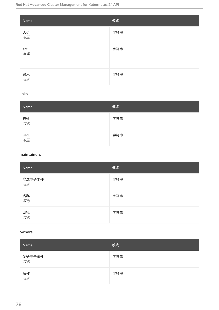| Name      | 模式  |
|-----------|-----|
| 大小<br>可选  | 字符串 |
| src<br>必需 | 字符串 |
| 输入<br>可选  | 字符串 |

# <span id="page-81-0"></span>links

| Name             | 模式  |
|------------------|-----|
| 描述<br>可选         | 字符串 |
| URL<br><i>可选</i> | 字符串 |

#### <span id="page-81-1"></span>maintainers

| Name             | 模式  |
|------------------|-----|
| 发送电子邮件<br>可选     | 字符串 |
| 名称<br>可选         | 字符串 |
| URL<br><i>可选</i> | 字符串 |

### <span id="page-81-2"></span>owners

| Name         | 模式  |
|--------------|-----|
| 发送电子邮件<br>可选 | 字符串 |
| 名称<br>可选     | 字符串 |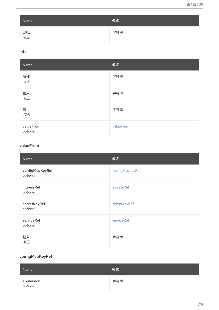<span id="page-82-0"></span>

| Name             | 模式  |
|------------------|-----|
| URL<br><i>可选</i> | 字符串 |

## <span id="page-82-1"></span>info

| Name                  | 模式        |
|-----------------------|-----------|
| 名称<br>可选              | 字符串       |
| 输入<br>可选              | 字符串       |
| 值<br>可选               | 字符串       |
| valueFrom<br>optional | valueFrom |

#### <span id="page-82-2"></span>valueFrom

| Name                        | 模式              |
|-----------------------------|-----------------|
| configMapKeyRef<br>optional | configMapKeyRef |
| ingressRef<br>optional      | ingressRef      |
| secretKeyRef<br>optional    | secretKeyRef    |
| serviceRef<br>optional      | serviceRef      |
| 输入<br>可选                    | 字符串             |

# <span id="page-82-3"></span>configMapKeyRef

| Name                          | 模式  |
|-------------------------------|-----|
| <b>apiVersion</b><br>optional | 字符串 |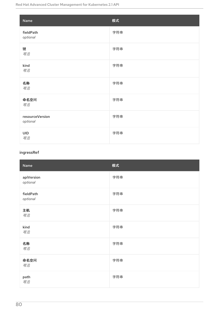| Name                        | 模式  |
|-----------------------------|-----|
| fieldPath<br>optional       | 字符串 |
| 键<br>可选                     | 字符串 |
| kind<br>可选                  | 字符串 |
| 名称<br>可选                    | 字符串 |
| 命名空间<br>可选                  | 字符串 |
| resourceVersion<br>optional | 字符串 |
| <b>UID</b><br>可选            | 字符串 |

# <span id="page-83-0"></span>ingressRef

| Name                   | 模式  |
|------------------------|-----|
| apiVersion<br>optional | 字符串 |
| fieldPath<br>optional  | 字符串 |
| 主机<br>可选               | 字符串 |
| kind<br>可选             | 字符串 |
| 名称<br>可选               | 字符串 |
| 命名空间<br>可选             | 字符串 |
| path<br>可选             | 字符串 |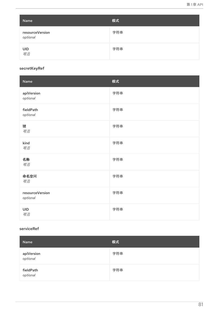| Name                        | 模式  |
|-----------------------------|-----|
| resourceVersion<br>optional | 字符串 |
| UID<br><i>可选</i>            | 字符串 |

#### <span id="page-84-0"></span>secretKeyRef

| Name                        | 模式  |
|-----------------------------|-----|
| apiVersion<br>optional      | 字符串 |
| fieldPath<br>optional       | 字符串 |
| 键<br>可选                     | 字符串 |
| kind<br>可选                  | 字符串 |
| 名称<br>可选                    | 字符串 |
| 命名空间<br>可选                  | 字符串 |
| resourceVersion<br>optional | 字符串 |
| <b>UID</b><br>可选            | 字符串 |

#### <span id="page-84-1"></span>serviceRef

| Name                          | 模式  |
|-------------------------------|-----|
| <b>apiVersion</b><br>optional | 字符串 |
| fieldPath<br>optional         | 字符串 |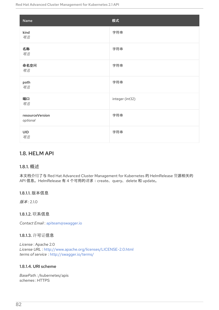| Name                        | 模式              |
|-----------------------------|-----------------|
| kind<br>可选                  | 字符串             |
| 名称<br>可选                    | 字符串             |
| 命名空间<br>可选                  | 字符串             |
| path<br>可选                  | 字符串             |
| 端口<br>可选                    | integer (int32) |
| resourceVersion<br>optional | 字符串             |
| <b>UID</b><br>可选            | 字符串             |

# 1.8. HELM API

## 1.8.1. 概述

本文档介绍了与 Red Hat Advanced Cluster Management for Kubernetes 的 HelmRelease 资源相关的 API 信息。HelmRelease 有 4 个可用的请求:create、query、delete 和 update。

## 1.8.1.1. 版本信息

版本: 2.1.0

1.8.1.2. 联系信息

*Contact Email* : [apiteam@swagger.io](mailto:apiteam@swagger.io)

### 1.8.1.3. 许可证信息

*License* : Apache 2.0 *License URL* : <http://www.apache.org/licenses/LICENSE-2.0.html> *terms of service* : <http://swagger.io/terms/>

# 1.8.1.4. URI scheme

*BasePath :* /kubernetes/apis *schemes* : HTTPS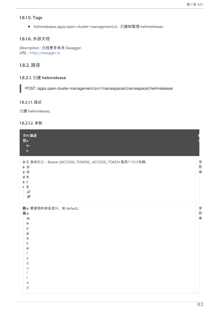### 1.8.1.5. Tags

helmreleases.apps.open-cluster-management.io : 创建和管理 helmreleases

# 1.8.1.6. 外部文档

*Description* : 查找更多有关 Swagger. *URL* : <http://swagger.io>

# 1.8.2. 路径

# 1.8.2.1. 创建 helmrelease

POST /apps.open-cluster-management.io/v1/namespaces/{namespace}/helmreleases

#### 1.8.2.1.1. 描述

创建 helmrelease。

## 1.8.2.1.2. 参数

| 类N 描述<br>型a<br>m<br>$\mathbf{e}$                                                                              |     |
|---------------------------------------------------------------------------------------------------------------|-----|
| H C 身份验证: Bearer {ACCESS_TOKEN}; ACCESS_TOKEN 是用户访问令牌。<br>e O<br>$a$ O<br>d K<br>ė<br>- 1<br>E<br>r<br>必<br>需 | 字符串 |
| 路n 要使用的命名空间, 如 default。<br>径a<br>m<br>e<br>s<br>p<br>a<br>c<br>e<br>e<br>q<br>е<br>d                          | 字符串 |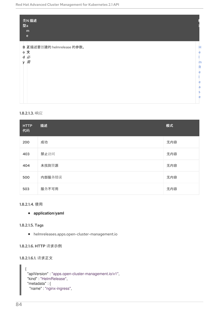| 类N 描述<br>型a<br>m<br>$\mathbf{e}$ |              |
|----------------------------------|--------------|
| B 正描述要创建的 helmrelease 的参数。       | Н            |
| 。文                               | e            |
| d必                               |              |
| 需<br>y                           | m            |
|                                  | $\mathsf{R}$ |
|                                  | e            |
|                                  |              |
|                                  | e            |
|                                  | a            |
|                                  | S            |
|                                  | e            |
|                                  |              |

### 1.8.2.1.3. 响应

| <b>HTTP</b><br>代码 | 描述     | 模式  |
|-------------------|--------|-----|
| 200               | 成功     | 无内容 |
| 403               | 禁止访问   | 无内容 |
| 404               | 未找到资源  | 无内容 |
| 500               | 内部服务错误 | 无内容 |
| 503               | 服务不可用  | 无内容 |

### 1.8.2.1.4. 使用

# **application/yaml**

#### 1.8.2.1.5. Tags

helmreleases.apps.open-cluster-management.io

#### 1.8.2.1.6. HTTP 请求示例

#### 1.8.2.1.6.1. 请求正文

```
{
"apiVersion" : "apps.open-cluster-management.io/v1",
"kind" : "HelmRelease",
 "metadata" : {
  "name" : "nginx-ingress",
```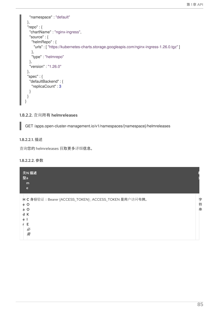```
"namespace" : "default"
 },
 "repo" : {
  "chartName" : "nginx-ingress",
  "source" : {
   "helmRepo" : {
     "urls" : [ "https://kubernetes-charts.storage.googleapis.com/nginx-ingress-1.26.0.tgz" ]
    },
    "type" : "helmrepo"
  },
  "version" : "1.26.0"
 },
 "spec" : {
  "defaultBackend" : {
   "replicaCount" : 3
  }
 }
}
```
# 1.8.2.2. 查询所有 helmreleases

GET /apps.open-cluster-management.io/v1/namespaces/{namespace}/helmreleases

#### 1.8.2.2.1. 描述

查询您的 helmreleases 获取更多详细信息。

#### 1.8.2.2.2. 参数

| 类N 描述<br>型a<br>m<br>e                                                                                                |             |
|----------------------------------------------------------------------------------------------------------------------|-------------|
| H C 身份验证: Bearer {ACCESS_TOKEN}; ACCESS_TOKEN 是用户访问令牌。<br>$\circ$<br>e<br>$\circ$<br>a<br>d<br>К<br>e<br>F<br>必<br>需 | 字<br>符<br>串 |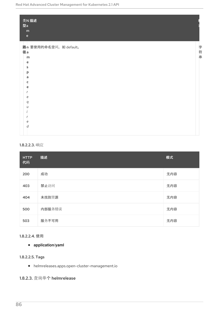| 类N描述<br>型a<br>${\bf m}$<br>$\mathsf{e}% _{t}\left( t\right)$ |    |
|--------------------------------------------------------------|----|
| 路n 要使用的命名空间, 如 default。                                      | 字  |
| 径a                                                           |    |
| m                                                            | 符串 |
| e                                                            |    |
| s                                                            |    |
| p                                                            |    |
| a                                                            |    |
| c                                                            |    |
| e                                                            |    |
|                                                              |    |
| e                                                            |    |
| q<br>$\iota$                                                 |    |
|                                                              |    |
|                                                              |    |
| e                                                            |    |
| d                                                            |    |
|                                                              |    |

# 1.8.2.2.3. 响应

| <b>HTTP</b><br>代码 | 描述     | 模式  |
|-------------------|--------|-----|
| 200               | 成功     | 无内容 |
| 403               | 禁止访问   | 无内容 |
| 404               | 未找到资源  | 无内容 |
| 500               | 内部服务错误 | 无内容 |
| 503               | 服务不可用  | 无内容 |

# 1.8.2.2.4. 使用

# **application/yaml**

# 1.8.2.2.5. Tags

helmreleases.apps.open-cluster-management.io

1.8.2.3. 查询单个 helmrelease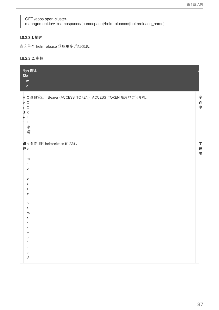# GET /apps.open-clustermanagement.io/v1/namespaces/{namespace}/helmreleases/{helmrelease\_name}

#### 1.8.2.3.1. 描述

查询单个 helmrelease 获取更多详细信息。

### 1.8.2.3.2. 参数

| 类N 描述<br>型a<br>${\sf m}$<br>$\mathsf{e}% _{0}\left( \mathsf{e}\right)$                                                                                     |     |
|------------------------------------------------------------------------------------------------------------------------------------------------------------|-----|
| H C 身份验证: Bearer {ACCESS_TOKEN}; ACCESS_TOKEN 是用户访问令牌。<br>e O<br>$a$ O<br>d K<br>ė<br>E<br>r<br>必<br>需                                                     | 字符串 |
| 路h 要查询的 helmrelease 的名称。<br>径e<br>m<br>r<br>е<br>е<br>a<br>s<br>e<br>n<br>a<br>m<br>е<br>e<br>$\boldsymbol{q}$<br>u<br>r<br>$\epsilon$<br>$\boldsymbol{d}$ | 字符串 |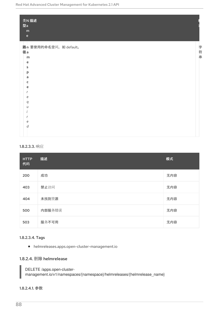| 类N 描述<br>型a<br>${\sf m}$<br>$\mathbf{e}$     |     |
|----------------------------------------------|-----|
| 路n 要使用的命名空间, 如 default。<br>径a<br>m<br>e<br>s | 字符串 |
| p<br>a<br>c<br>e<br>e                        |     |
| q<br>$\iota$<br>e<br>d                       |     |

#### 1.8.2.3.3. 响应

| <b>HTTP</b><br>代码 | 描述     | 模式  |
|-------------------|--------|-----|
| 200               | 成功     | 无内容 |
| 403               | 禁止访问   | 无内容 |
| 404               | 未找到资源  | 无内容 |
| 500               | 内部服务错误 | 无内容 |
| 503               | 服务不可用  | 无内容 |

#### 1.8.2.3.4. Tags

helmreleases.apps.open-cluster-management.io

# 1.8.2.4. 删除 helmrelease

DELETE /apps.open-clustermanagement.io/v1/namespaces/{namespace}/helmreleases/{helmrelease\_name}

## 1.8.2.4.1. 参数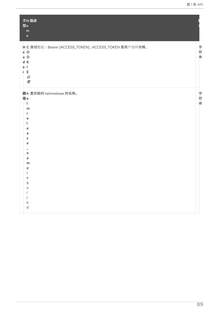| 类N描述<br>型a<br>${\sf m}$<br>$\mathsf{e}% _{t}\left( t\right) \equiv\mathsf{e}_{t}\left( t\right) ,$                           |             |
|------------------------------------------------------------------------------------------------------------------------------|-------------|
| H C 身份验证: Bearer {ACCESS_TOKEN}; ACCESS_TOKEN 是用户访问令牌。<br>e O<br>$a$ O<br>d K<br>e l<br>E<br>r<br>必<br>需                     | 字<br>符<br>串 |
| 路h 要删除的 helmrelease 的名称。<br>径e<br>m<br>r<br>e<br>e<br>a<br>s<br>e<br>'n<br>a<br>m<br>e<br>e<br>q<br>U<br>e<br>$\overline{d}$ | 字<br>符串     |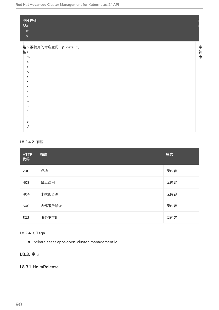| 类N描述<br>型a<br>${\sf m}$<br>$\mathbf{e}$                                                   |     |
|-------------------------------------------------------------------------------------------|-----|
| 路n 要使用的命名空间, 如 default。<br>径a<br>m<br>e<br>s<br>p<br>a<br>c<br>e<br>e<br>q<br>U<br>е<br>d | 字符串 |

### 1.8.2.4.2. 响应

| <b>HTTP</b><br>代码 | 描述     | 模式  |
|-------------------|--------|-----|
| 200               | 成功     | 无内容 |
| 403               | 禁止访问   | 无内容 |
| 404               | 未找到资源  | 无内容 |
| 500               | 内部服务错误 | 无内容 |
| 503               | 服务不可用  | 无内容 |

# 1.8.2.4.3. Tags

helmreleases.apps.open-cluster-management.io

# 1.8.3. 定义

## 1.8.3.1. HelmRelease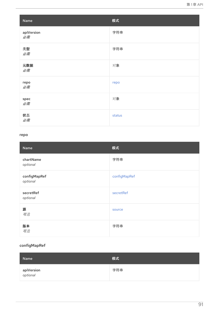| Name               | 模式     |
|--------------------|--------|
| apiVersion<br>必需   | 字符串    |
| 类型<br>必需           | 字符串    |
| 元数据<br>必需          | 对象     |
| repo<br>必需         | repo   |
| ${\sf spec}$<br>必需 | 对象     |
| 状态<br>必需           | status |

#### <span id="page-94-0"></span>repo

| Name                     | 模式           |
|--------------------------|--------------|
| chartName<br>optional    | 字符串          |
| configMapRef<br>optional | configMapRef |
| secretRef<br>optional    | secretRef    |
| 源<br>可选                  | source       |
| 版本<br>可选                 | 字符串          |

## <span id="page-94-1"></span>c o n f i g M a p R e f

| Name                          | 模式  |
|-------------------------------|-----|
| <b>apiVersion</b><br>optional | 字符串 |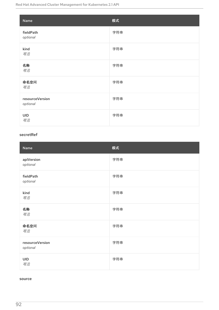<span id="page-95-0"></span>

| Name                        | 模式  |
|-----------------------------|-----|
| fieldPath<br>optional       | 字符串 |
| kind<br>可选                  | 字符串 |
| 名称<br>可选                    | 字符串 |
| 命名空间<br>可选                  | 字符串 |
| resourceVersion<br>optional | 字符串 |
| <b>UID</b><br>可选            | 字符串 |

#### <span id="page-95-1"></span>secretRef

| Name                        | 模式  |
|-----------------------------|-----|
| apiVersion<br>optional      | 字符串 |
| fieldPath<br>optional       | 字符串 |
| kind<br>可选                  | 字符串 |
| 名称<br>可选                    | 字符串 |
| 命名空间<br>可选                  | 字符串 |
| resourceVersion<br>optional | 字符串 |
| <b>UID</b><br>可选            | 字符串 |

#### <span id="page-95-2"></span>source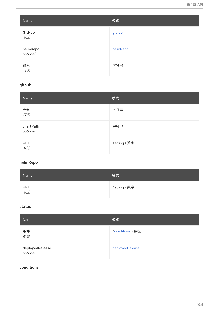| Name                 | 模式       |
|----------------------|----------|
| GitHub<br>可选         | github   |
| helmRepo<br>optional | helmRepo |
| 输入<br>可选             | 字符串      |

# <span id="page-96-1"></span>github

| Name                  | 模式            |
|-----------------------|---------------|
| 分支<br>可选              | 字符串           |
| chartPath<br>optional | 字符串           |
| URL<br><i>可选</i>      | < string > 数字 |

# <span id="page-96-2"></span>helmRepo

| Name             | 模式            |
|------------------|---------------|
| URL<br><i>可选</i> | < string > 数字 |

#### <span id="page-96-0"></span>status

| Name                        | 模式                           |
|-----------------------------|------------------------------|
| 条件<br>必需                    | <conditions> 数组</conditions> |
| deployedRelease<br>optional | deployedRelease              |

# <span id="page-96-3"></span>conditions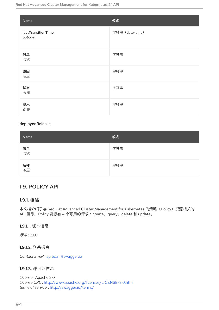| Name                           | 模式              |
|--------------------------------|-----------------|
| lastTransitionTime<br>optional | 字符串 (date-time) |
| 消息<br>可选                       | 字符串             |
| 原因<br>可选                       | 字符串             |
| 状态<br>必需                       | 字符串             |
| 键入<br>必需                       | 字符串             |

## <span id="page-97-0"></span>deployedRelease

| Name            | 模式  |
|-----------------|-----|
| 清单<br><i>可选</i> | 字符串 |
| 名称<br><i>可选</i> | 字符串 |

# 1.9. POLICY API

# 1.9.1. 概述

本文档介绍了与 Red Hat Advanced Cluster Management for Kubernetes 的策略 (Policy) 资源相关的 API 信息。Policy 资源有 4 个可用的请求:create、query、delete 和 update。

# 1.9.1.1. 版本信息

版本: 2.1.0

1.9.1.2. 联系信息

*Contact Email* : [apiteam@swagger.io](mailto:apiteam@swagger.io)

## 1.9.1.3. 许可证信息

*License* : Apache 2.0 *License URL* : <http://www.apache.org/licenses/LICENSE-2.0.html> *terms of service* : <http://swagger.io/terms/>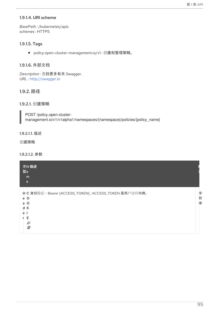## 1.9.1.4. URI scheme

*BasePath :* /kubernetes/apis *schemes* : HTTPS

## 1.9.1.5. Tags

policy.open-cluster-management.io/v1 : 创建和管理策略。

## 1.9.1.6. 外部文档

*Description* : 查找更多有关 Swagger. *URL* : <http://swagger.io>

# 1.9.2. 路径

### 1.9.2.1. 创建策略

POST /policy.open-clustermanagement.io/v1/v1alpha1/namespaces/{namespace}/policies/{policy\_name}

#### 1.9.2.1.1. 描述

创建策略

#### 1.9.2.1.2. 参数

| 类N 描述<br>型a<br>m<br>e                                                                                    |             |
|----------------------------------------------------------------------------------------------------------|-------------|
| H C 身份验证: Bearer {ACCESS_TOKEN}; ACCESS_TOKEN 是用户访问令牌。<br>e O<br>$\circ$<br>a<br>d K<br>е<br>Е<br>必<br>需 | 字<br>符<br>串 |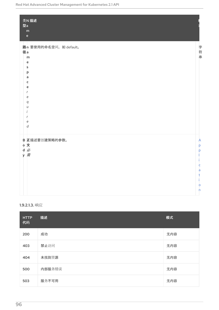| 类N 描述<br>型a<br>${\sf m}$<br>$\mathsf{e}% _{t}\left( t\right)$                                                       |                                             |
|---------------------------------------------------------------------------------------------------------------------|---------------------------------------------|
| 路n 要使用的命名空间, 如 default。<br>径a<br>m<br>e<br>$\mathsf{s}$<br>p<br>a<br>c<br>e<br>e<br>q<br>u<br>e<br>$\boldsymbol{d}$ | 字符串                                         |
| B 正描述要创建策略的参数。<br>。文<br>d必<br>y 需                                                                                   | A<br>p<br>Þ<br>¢<br>a<br>t<br>$\circ$<br>h. |

# 1.9.2.1.3. 响应

| <b>HTTP</b><br>代码 | 描述     | 模式  |
|-------------------|--------|-----|
| 200               | 成功     | 无内容 |
| 403               | 禁止访问   | 无内容 |
| 404               | 未找到资源  | 无内容 |
| 500               | 内部服务错误 | 无内容 |
| 503               | 服务不可用  | 无内容 |

96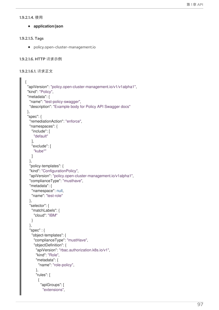#### 1.9.2.1.4. 使用

**application/json**

#### 1.9.2.1.5. Tags

policy.open-cluster-management.io

```
1.9.2.1.6. HTTP 请求示例
```

```
1.9.2.1.6.1. 请求正文
```

```
{
 "apiVersion": "policy.open-cluster-management.io/v1/v1alpha1",
"kind": "Policy",
"metadata": {
  "name": "test-policy-swagger",
  "description": "Example body for Policy API Swagger docs"
},
"spec": {
  "remediationAction": "enforce",
  "namespaces": {
   "include": [
    "default"
   ],
   "exclude": [
    "kube*"
   ]
  },
  "policy-templates": {
  "kind": "ConfigurationPolicy",
  "apiVersion": "policy.open-cluster-management.io/v1alpha1",
  "complianceType": "musthave",
  "metadata": {
   "namespace": null,
   "name": "test-role"
  },
  "selector": {
   "matchLabels": {
    "cloud": "IBM"
   }
  },
  "spec" : {
   "object-templates": {
    "complianceType": "mustHave",
    "objectDefinition": {
      "apiVersion": "rbac.authorization.k8s.io/v1",
      "kind": "Role",
      "metadata": {
       "name": "role-policy",
      },
      "rules": [
       {
        "apiGroups": [
          "extensions",
```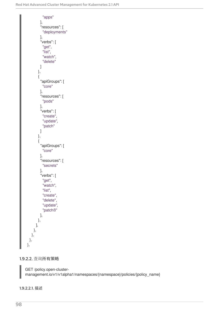

### 1.9.2.2. 查询所有策略

GET /policy.open-clustermanagement.io/v1/v1alpha1/namespaces/{namespace}/policies/{policy\_name}

1.9.2.2.1. 描述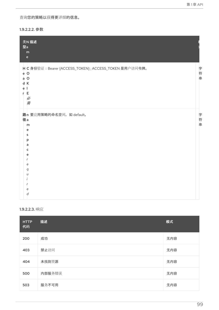查询您的策略以获得更详细的信息。

#### 1.9.2.2.2. 参数

| 类N 描述<br>型a<br>m<br>$\mathsf{e}% _{t}\left( t\right) \equiv\mathsf{e}_{t}\left( t\right) ,$        |         |
|----------------------------------------------------------------------------------------------------|---------|
| H C 身份验证: Bearer {ACCESS_TOKEN}; ACCESS_TOKEN 是用户访问令牌。<br>e O<br>a O<br>d K<br>ėІ<br>r E<br>必<br>需 | 字<br>符串 |
| 路n 要应用策略的命名空间, 如 default。<br>径a<br>m<br>e<br>s<br>p<br>a<br>c<br>e<br>e<br>q<br>U<br>e<br>d        | 字符<br>串 |

## 1.9.2.2.3. 响应

| <b>HTTP</b><br>代码 | 描述     | 模式  |
|-------------------|--------|-----|
| 200               | 成功     | 无内容 |
| 403               | 禁止访问   | 无内容 |
| 404               | 未找到资源  | 无内容 |
| 500               | 内部服务错误 | 无内容 |
| 503               | 服务不可用  | 无内容 |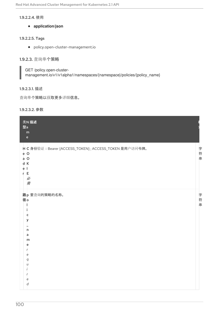#### 1.9.2.2.4. 使用

**application/json**

### 1.9.2.2.5. Tags

policy.open-cluster-management.io

# 1.9.2.3. 查询单个策略

GET /policy.open-clustermanagement.io/v1/v1alpha1/namespaces/{namespace}/policies/{policy\_name}

# 1.9.2.3.1. 描述

查询单个策略以获取更多详细信息。

#### 1.9.2.3.2. 参数

| 类N 描述<br>型a<br>${\sf m}$<br>$\mathsf{e}% _{t}\left( t\right) \equiv\mathsf{e}_{t}\left( t\right) ,$   |         |
|-------------------------------------------------------------------------------------------------------|---------|
| H C 身份验证: Bearer {ACCESS_TOKEN}; ACCESS_TOKEN 是用户访问令牌。<br>e O<br>$a$ O<br>d K<br>e I<br>r E<br>必<br>需 | 字符<br>串 |
| 路p 要查询的策略的名称。<br>径。<br>c<br>y<br>'n<br>a<br>m<br>e<br>r<br>e<br>q<br>U<br>e<br>d                      | 字符串     |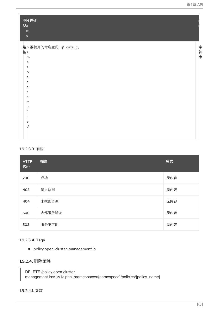| 类N描述<br>型a<br>${\bf m}$<br>$\mathsf{e}% _{t}\left( t\right) \equiv\mathsf{e}_{t}\left( t\right) ,$ |     |
|----------------------------------------------------------------------------------------------------|-----|
| 路n 要使用的命名空间, 如 default。                                                                            |     |
| 径a                                                                                                 |     |
| m                                                                                                  | 字符串 |
| e                                                                                                  |     |
| s                                                                                                  |     |
| p                                                                                                  |     |
| a                                                                                                  |     |
| c                                                                                                  |     |
| e                                                                                                  |     |
|                                                                                                    |     |
| e                                                                                                  |     |
| q<br>$\iota$                                                                                       |     |
|                                                                                                    |     |
|                                                                                                    |     |
| е                                                                                                  |     |
| d                                                                                                  |     |
|                                                                                                    |     |
|                                                                                                    |     |

### 1.9.2.3.3. 响应

| <b>HTTP</b><br>代码 | 描述     | 模式  |
|-------------------|--------|-----|
| 200               | 成功     | 无内容 |
| 403               | 禁止访问   | 无内容 |
| 404               | 未找到资源  | 无内容 |
| 500               | 内部服务错误 | 无内容 |
| 503               | 服务不可用  | 无内容 |

### 1.9.2.3.4. Tags

policy.open-cluster-management.io

# 1.9.2.4. 删除策略

DELETE /policy.open-clustermanagement.io/v1/v1alpha1/namespaces/{namespace}/policies/{policy\_name}

#### 1.9.2.4.1. 参数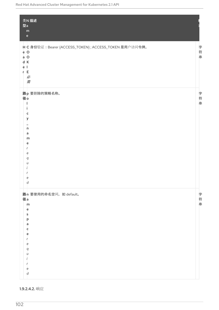| 类N 描述<br>型a<br>${\sf m}$<br>$\mathbf{e}% _{t}\left( t\right)$                                                  |             |
|----------------------------------------------------------------------------------------------------------------|-------------|
| H C 身份验证: Bearer {ACCESS_TOKEN}; ACCESS_TOKEN 是用户访问令牌。<br>e O<br>a O<br>d K<br>e <sub>1</sub><br>r E<br>必<br>需 | 字符串         |
| 路p 要删除的策略名称。<br>径o<br>п<br>¢<br>У<br>$\mathsf{n}$<br>a<br>m<br>e<br>r<br>e<br>q<br>U<br>e<br>d                 | 字符串         |
| 路n 要使用的命名空间, 如 default。<br>径a<br>m<br>e<br>s<br>þ<br>a<br>c<br>e<br>е<br>q<br>U<br>е<br>d                      | 字<br>符<br>串 |

1.9.2.4.2. 响应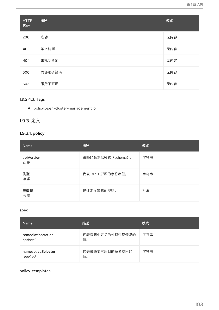| <b>HTTP</b><br>代码 | 描述     | 模式  |
|-------------------|--------|-----|
| 200               | 成功     | 无内容 |
| 403               | 禁止访问   | 无内容 |
| 404               | 未找到资源  | 无内容 |
| 500               | 内部服务错误 | 无内容 |
| 503               | 服务不可用  | 无内容 |

# 1.9.2.4.3. Tags

policy.open-cluster-management.io

# 1.9.3. 定义

# 1.9.3.1. policy

| <b>Name</b>      | 描述                 | 模式  |
|------------------|--------------------|-----|
| apiVersion<br>必需 | 策略的版本化模式 (schema)。 | 字符串 |
| 类型<br>必需         | 代表 REST 资源的字符串值。   | 字符串 |
| 元数据<br>必需        | 描述定义策略的规则。         | 对象  |

#### spec

| <b>Name</b>                   | 描述                    | 模式  |
|-------------------------------|-----------------------|-----|
| remediationAction<br>optional | 代表资源中定义的处理违反情况的<br>值。 | 字符串 |
| namespaceSelector<br>required | 代表策略要应用到的命名空间的<br>值。  | 字符串 |

# policy-templates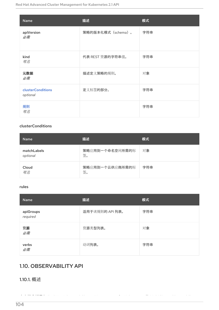| Name                                 | 描述                 | 模式  |
|--------------------------------------|--------------------|-----|
| apiVersion<br>必需                     | 策略的版本化模式 (schema)。 | 字符串 |
| kind<br>可选                           | 代表 REST 资源的字符串值。   | 字符串 |
| 元数据<br>必需                            | 描述定义策略的规则。         | 对象  |
| <b>clusterConditions</b><br>optional | 定义标签的部分。           | 字符串 |
| 规则<br>可选                             |                    | 字符串 |

## <span id="page-107-0"></span>clusterConditions

| <b>Name</b>             | 描述                    | 模式  |
|-------------------------|-----------------------|-----|
| matchLabels<br>optional | 策略应用到一个命名空间所需的标<br>签。 | 对象  |
| Cloud<br>可选             | 策略应用到一个云供应商所需的标<br>签。 | 字符串 |

#### <span id="page-107-1"></span>rules

| Name                  | 描述              | 模式  |
|-----------------------|-----------------|-----|
| apiGroups<br>required | 适用于该规则的 API 列表。 | 字符串 |
| 资源<br>必需              | 资源类型列表。         | 对象  |
| verbs<br>必需           | 动词列表。           | 字符串 |

本文档介绍了与 Red Hat Advanced Cluster Management for Kubernetes 的 MultiClusterObservability

# 1.10. OBSERVABILITY API

1.10.1. 概述

104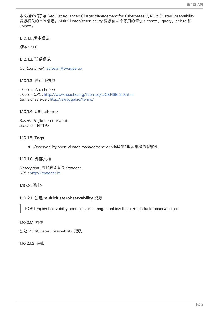本文档介绍了与 Red Hat Advanced Cluster Management for Kubernetes 的 MultiClusterObservability 资源相关的 API 信息。MultiClusterObservability 资源有 4 个可用的请求:create、query、delete 和 update。

1.10.1.1. 版本信息

版本: 2.1.0

1.10.1.2. 联系信息

*Contact Email* : [apiteam@swagger.io](mailto:apiteam@swagger.io)

1.10.1.3. 许可证信息

*License* : Apache 2.0 *License URL* : <http://www.apache.org/licenses/LICENSE-2.0.html> *terms of service* : <http://swagger.io/terms/>

#### 1.10.1.4. URI scheme

*BasePath :* /kubernetes/apis *schemes* : HTTPS

#### 1.10.1.5. Tags

● Observability.open-cluster-management.io: 创建和管理多集群的观察性

#### 1.10.1.6. 外部文档

*Description* : 查找更多有关 Swagger. *URL* : <http://swagger.io>

## 1.10.2. 路径

#### 1.10.2.1. 创建 multiclusterobservability 资源

POST /apis/observability.open-cluster-management.io/v1beta1/multiclusterobservabilities

#### 1.10.2.1.1. 描述

创建 MultiClusterObservability 资源。

#### 1.10.2.1.2. 参数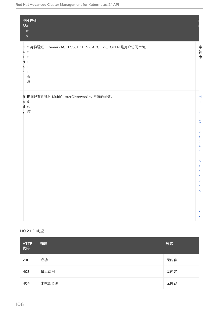| 类N描述<br>型a<br>${\sf m}$<br>$\mathbf{e}% _{0}\left( \mathbf{1}\right)$                                            |                                                                                                                                                             |
|------------------------------------------------------------------------------------------------------------------|-------------------------------------------------------------------------------------------------------------------------------------------------------------|
| H C 身份验证: Bearer {ACCESS_TOKEN}; ACCESS_TOKEN 是用户访问令牌。<br>e O<br>$a$ O<br>d K<br>e <sub>1</sub><br>r E<br>必<br>需 | 字<br>符串                                                                                                                                                     |
| B 正描述要创建的 MultiClusterObservability 资源的参数。<br>。文<br>d必<br>y 需                                                    | M<br>u<br>C<br>ū<br>$\mathsf{s}$<br>t<br>$\mathsf{e}$<br>r<br>$\circ$<br>$\mathsf{b}$<br>$\mathsf{s}$<br>e<br>V<br>$\overline{a}$<br>$\mathsf{b}$<br>t<br>У |

## 1.10.2.1.3. 响应

| <b>HTTP</b><br>代码 | 描述    | 模式  |
|-------------------|-------|-----|
| 200               | 成功    | 无内容 |
| 403               | 禁止访问  | 无内容 |
| 404               | 未找到资源 | 无内容 |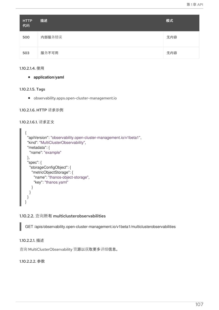| <b>HTTP</b><br>代码 | 描述     | 模式  |
|-------------------|--------|-----|
| 500               | 内部服务错误 | 无内容 |
| 503               | 服务不可用  | 无内容 |

1.10.2.1.4. 使用

**application/yaml**

1.10.2.1.5. Tags

observability.apps.open-cluster-management.io

1.10.2.1.6. HTTP 请求示例

1.10.2.1.6.1. 请求正文

```
\{"apiVersion": "observability.open-cluster-management.io/v1beta1",
 "kind": "MultiClusterObservability",
 "metadata": {
  "name": "example"
 },
 "spec": {
  "storageConfigObject": {
   "metricObjectStorage": {
     "name": "thanos-object-storage",
     "key": "thanos.yaml"
   }
  }
 }
}
```
## 1.10.2.2. 查询所有 multiclusterobservabilities

GET /apis/observability.open-cluster-management.io/v1beta1/multiclusterobservabilities

1.10.2.2.1. 描述

查询 MultiClusterObservability 资源以获取更多详细信息。

1.10.2.2.2. 参数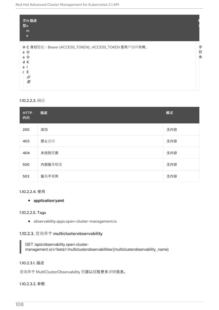| 类N 描述<br>型a                                                                                              |             |
|----------------------------------------------------------------------------------------------------------|-------------|
| m<br>e                                                                                                   |             |
| H C 身份验证: Bearer {ACCESS_TOKEN}; ACCESS_TOKEN 是用户访问令牌。<br>e O<br>$\circ$<br>a<br>d K<br>e<br>Е<br>必<br>需 | 字<br>符<br>串 |

#### 1.10.2.2.3. 响应

| <b>HTTP</b><br>代码 | 描述     | 模式  |
|-------------------|--------|-----|
| 200               | 成功     | 无内容 |
| 403               | 禁止访问   | 无内容 |
| 404               | 未找到资源  | 无内容 |
| 500               | 内部服务错误 | 无内容 |
| 503               | 服务不可用  | 无内容 |

#### 1.10.2.2.4. 使用

#### **application/yaml**

#### 1.10.2.2.5. Tags

observability.apps.open-cluster-management.io

## 1.10.2.3. 查询单个 multiclusterobservability

GET /apis/observability.open-clustermanagement.io/v1beta1/multiclusterobservabilities/{multiclusterobservability\_name}

#### 1.10.2.3.1. 描述

查询单个 MultiClusterObservability 资源以获取更多详细信息。

#### 1.10.2.3.2. 参数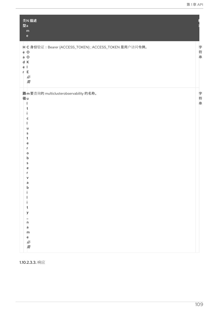| 类N描述<br>型a<br>m<br>$\mathsf{e}% _{t}\left( t\right) \equiv\mathsf{e}_{t}\left( t\right) ,$                                                                     |     |
|----------------------------------------------------------------------------------------------------------------------------------------------------------------|-----|
| H C 身份验证: Bearer {ACCESS_TOKEN}; ACCESS_TOKEN 是用户访问令牌。<br>e O<br>$a$ O<br>d K<br>e I<br>E.<br>r<br>必<br>需                                                      | 字符串 |
| 路m要查询的 multiclusterobservability 的名称。<br>径u<br>u<br>s<br>t<br>e<br>о<br>b<br>s<br>e<br>v<br>a<br>b<br>t<br>У<br>$\mathsf{n}$<br>$\overline{a}$<br>m<br>e<br>必需 | 字符串 |

1.10.2.3.3. 响应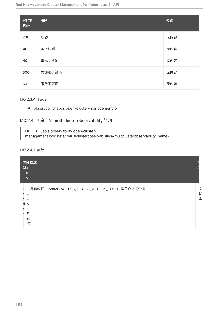| <b>HTTP</b><br>代码 | 描述     | 模式  |
|-------------------|--------|-----|
| 200               | 成功     | 无内容 |
| 403               | 禁止访问   | 无内容 |
| 404               | 未找到资源  | 无内容 |
| 500               | 内部服务错误 | 无内容 |
| 503               | 服务不可用  | 无内容 |

### 1.10.2.3.4. Tags

observability.apps.open-cluster-management.io

## 1.10.2.4. 删除一个 multiclusterobservability 资源

DELETE /apis/observability.open-clustermanagement.io/v1beta1/multiclusterobservabilities/{multiclusterobservability\_name}

#### 1.10.2.4.1. 参数

| 类N 描述<br>型a<br>m<br>e                                                                                                |             |
|----------------------------------------------------------------------------------------------------------------------|-------------|
| H C 身份验证: Bearer {ACCESS_TOKEN}; ACCESS_TOKEN 是用户访问令牌。<br>$\circ$<br>e<br>$\circ$<br>a<br>К<br>d<br>e<br>F<br>必<br>需 | 字<br>符<br>串 |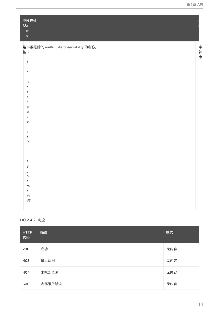| 类N 描述<br>型a                                                             |     |
|-------------------------------------------------------------------------|-----|
| ${\sf m}$                                                               |     |
| $\mathsf{e}% _{t}\left( t\right) \equiv\mathsf{e}_{t}\left( t\right) ,$ |     |
|                                                                         |     |
| 路m要删除的 multiclusterobservability 的名称。                                   | 字符串 |
| 径u                                                                      |     |
|                                                                         |     |
| t                                                                       |     |
|                                                                         |     |
| С                                                                       |     |
|                                                                         |     |
| u                                                                       |     |
| s                                                                       |     |
| t                                                                       |     |
| e                                                                       |     |
| r                                                                       |     |
| o                                                                       |     |
| b                                                                       |     |
| s                                                                       |     |
| е                                                                       |     |
| v                                                                       |     |
| a                                                                       |     |
| b                                                                       |     |
|                                                                         |     |
|                                                                         |     |
|                                                                         |     |
| t                                                                       |     |
| у                                                                       |     |
|                                                                         |     |
| $\mathsf{n}$                                                            |     |
| $\overline{a}$                                                          |     |
| m                                                                       |     |
| e<br>必需                                                                 |     |
|                                                                         |     |
|                                                                         |     |
|                                                                         |     |
|                                                                         |     |

## 1.10.2.4.2. 响应

| <b>HTTP</b><br>代码 | 描述     | 模式  |
|-------------------|--------|-----|
| 200               | 成功     | 无内容 |
| 403               | 禁止访问   | 无内容 |
| 404               | 未找到资源  | 无内容 |
| 500               | 内部服务错误 | 无内容 |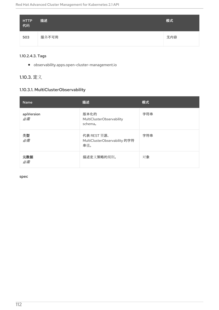| HTTP<br>代码 | 描述    | 模式  |
|------------|-------|-----|
| 503        | 服务不可用 | 无内容 |

### 1.10.2.4.3. Tags

observability.apps.open-cluster-management.io

## 1.10.3. 定义

## 1.10.3.1. MultiClusterObservability

| Name             | 描述                                                       | 模式  |
|------------------|----------------------------------------------------------|-----|
| apiVersion<br>必需 | 版本化的<br>MultiClusterObservability<br>schema <sub>o</sub> | 字符串 |
| 类型<br>必需         | 代表 REST 资源、<br>MultiClusterObservability 的字符<br>串值。      | 字符串 |
| 元数据<br>必需        | 描述定义策略的规则。                                               | 对象  |

spec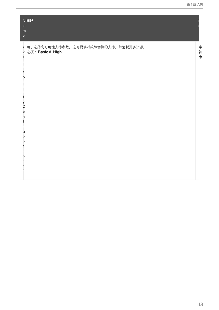| N 描述<br>$\mathsf{a}$<br>${\bf m}$<br>$\mathbf{e}$                                                                                       |             |
|-----------------------------------------------------------------------------------------------------------------------------------------|-------------|
| a 用于选择高可用性支持参数。这可提供对故障切换的支持, 并消耗更多资源。<br>v 选项: Basic 和 High<br>a<br>a<br>n<br>t<br>У<br>Ċ<br>$\circ$<br>n<br>g<br>Ō<br>p<br>O<br>n<br>a | 字<br>符<br>串 |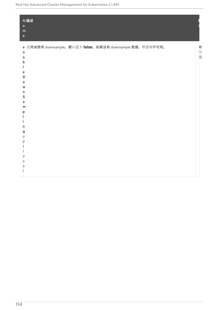| N 描述<br>$\mathsf{a}$<br>${\sf m}$<br>$\mathsf{e}% _{t}\left( t\right) \equiv\mathsf{e}_{t}\left( t\right) ,$                                              |     |
|-----------------------------------------------------------------------------------------------------------------------------------------------------------|-----|
| e 启用或禁用 downsample。默认值为 false。如果没有 downsample 数据, 则查询不可用。<br>n<br>a<br>b<br>e<br>D<br>о<br>W<br>n<br>\$<br>a<br>m<br>р<br>n<br>g<br>O<br>р<br>O<br>n<br>a | 布尔值 |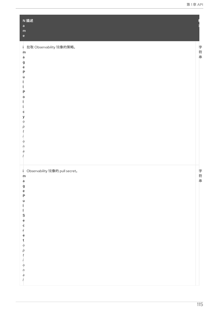| N描述<br>a<br>${\sf m}$<br>$\mathsf{e}% _{t}\left( t\right)$      |         |
|-----------------------------------------------------------------|---------|
| 拉取 Observability 镜像的策略。<br>i.<br>m<br>a<br>g<br>ė<br>P          | 字符串     |
| u<br>P<br>o                                                     |         |
| ¢<br>у<br>$\circ$<br>р                                          |         |
| t<br>O<br>n<br>a                                                |         |
| i Observability 镜像的 pull secret。<br>$\mathsf{m}$                | 字<br>符串 |
| agePullSecret                                                   |         |
| $\circ$                                                         |         |
| $\begin{array}{c} p \\ t \\ i \end{array}$<br>$\circ$<br>$\eta$ |         |
| $\partial$                                                      |         |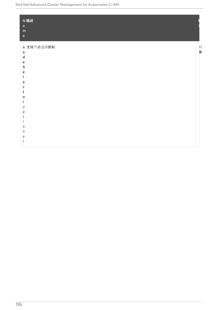| N描述<br>$\mathsf{a}$                        |    |
|--------------------------------------------|----|
| ${\sf m}$                                  |    |
| $\mathsf{e}% _{0}\left( \mathsf{e}\right)$ |    |
| n 支持节点选择限制                                 |    |
| $\circ$                                    | 对象 |
| d                                          |    |
| $\epsilon$                                 |    |
| $\mathsf{S}$                               |    |
| e                                          |    |
|                                            |    |
| e                                          |    |
| С                                          |    |
| t<br>$\circ$                               |    |
| r                                          |    |
| $\circ$                                    |    |
| р                                          |    |
|                                            |    |
|                                            |    |
| $\circ$                                    |    |
| $\sqrt{n}$                                 |    |
| a                                          |    |
|                                            |    |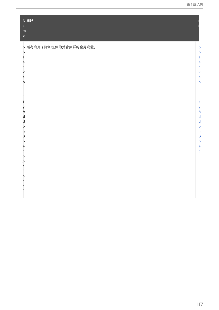<span id="page-120-0"></span>

| N 描述                      |                            |
|---------------------------|----------------------------|
| a                         |                            |
| ${\sf m}$<br>$\mathbf{e}$ |                            |
|                           |                            |
| o 所有启用了附加组件的受管集群的全局设置。    |                            |
| $\mathbf b$               | $\circ$<br>$\mathsf b$     |
| \$                        |                            |
| ė                         | $\mathsf{s}$<br>$\epsilon$ |
| r                         |                            |
| v                         | v                          |
| ä                         | $\overline{a}$             |
| b                         | $\mathbf b$                |
|                           |                            |
|                           |                            |
|                           |                            |
| t                         |                            |
| У                         | y                          |
| À                         | A                          |
| d                         | $\mathsf{d}$               |
| d                         | $\circ$                    |
| $\circ$<br>n              | $\mathsf{n}$               |
| $\mathsf{s}$              |                            |
| р                         | S<br>p<br>e<br>c           |
| ė                         |                            |
| ¢                         |                            |
| O                         |                            |
| р                         |                            |
| t                         |                            |
|                           |                            |
| $\circ$                   |                            |
| n                         |                            |
| a                         |                            |
|                           |                            |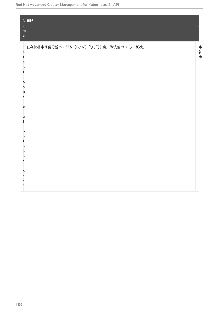| $\mathsf{a}$<br>${\sf m}$<br>$\mathsf{e}% _{t}\left( t\right) \equiv\mathsf{e}_{t}\left( t\right) ,$                                         | N 描述                                    |     |
|----------------------------------------------------------------------------------------------------------------------------------------------|-----------------------------------------|-----|
| ė<br>t<br>e<br>n<br>$\circ$<br>ņ.<br>Ŕ<br>e<br>s<br>$\circ$<br>L<br>u<br>t<br>I.<br>$\circ$<br>n<br>h<br>O<br>р<br>t<br>O<br>$\sqrt{n}$<br>a | r 在存储桶中保留分辨率2样本(1小时)的时间长度。默认值为30天(30d)。 | 字符串 |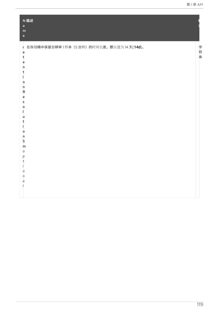| N 描述<br>$\overline{a}$<br>${\sf m}$<br>$\mathbf{e}$                                                                                                                             |             |
|---------------------------------------------------------------------------------------------------------------------------------------------------------------------------------|-------------|
| r 在存储桶中保留分辨率1样本 (5分钟) 的时间长度。默认值为14天(14d)。<br>ė<br>t<br>ė<br>n<br>t<br>o<br>n<br>R<br>e<br>s<br>$\circ$<br>u<br>$\circ$<br>ņ<br>5<br>m<br>$\circ$<br>р<br>t<br>$\circ$<br>n<br>a | 字<br>符<br>串 |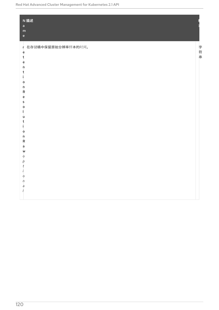| $\mathbf{a}$<br>${\sf m}$<br>$\mathsf{e}$                                                                                                                                                                                        | N描述                  |     |
|----------------------------------------------------------------------------------------------------------------------------------------------------------------------------------------------------------------------------------|----------------------|-----|
| ė<br>t<br>e<br>$\mathsf{n}$<br>t<br>Ĩ.<br>$\circ$<br>'n<br>$\overline{\mathsf{R}}$<br>ė<br>s<br>$\circ$<br>L<br>u<br>t<br>Ĩ.<br>$\circ$<br>n<br>Ŕ<br>à<br>W<br>$\circ$<br>p<br>t<br>$\prime$<br>O<br>$\sqrt{n}$<br>a<br>$\prime$ | r 在存储桶中保留原始分辨率样本的时间。 | 字符串 |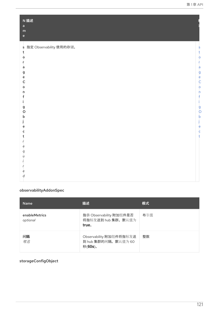| $\mathbf{a}$<br>m<br>$\mathsf{e}$                                 |                                                                                                   |
|-------------------------------------------------------------------|---------------------------------------------------------------------------------------------------|
| s 指定 Observability 使用的存储。<br>t<br>o<br>a<br>g<br>ė<br>Ċ<br>o<br>n | $\overline{\mathsf{S}}$<br>t<br>$\circ$<br>$\mathsf{a}$<br>g<br>C<br>C<br>$\circ$<br>$\mathsf{n}$ |
| g<br>O<br>b<br>e<br>С<br>е<br>q<br>U                              | $\frac{9}{0}$<br>b<br>$\epsilon$<br>$\mathsf{c}$<br>t                                             |

## <span id="page-124-0"></span>observabilityAddonSpec

| <b>Name</b>               | 描述                                                        | 模式  |
|---------------------------|-----------------------------------------------------------|-----|
| enableMetrics<br>optional | 指示 Observability 附加组件是否<br>将指标发送到 hub 集群。默认值为<br>true.    | 布尔值 |
| 间隔<br>可选                  | Observability 附加组件将指标发送<br>到 hub 集群的间隔。默认值为 60<br>秒(60s)。 | 整数  |

# <span id="page-124-1"></span>storageConfigObject